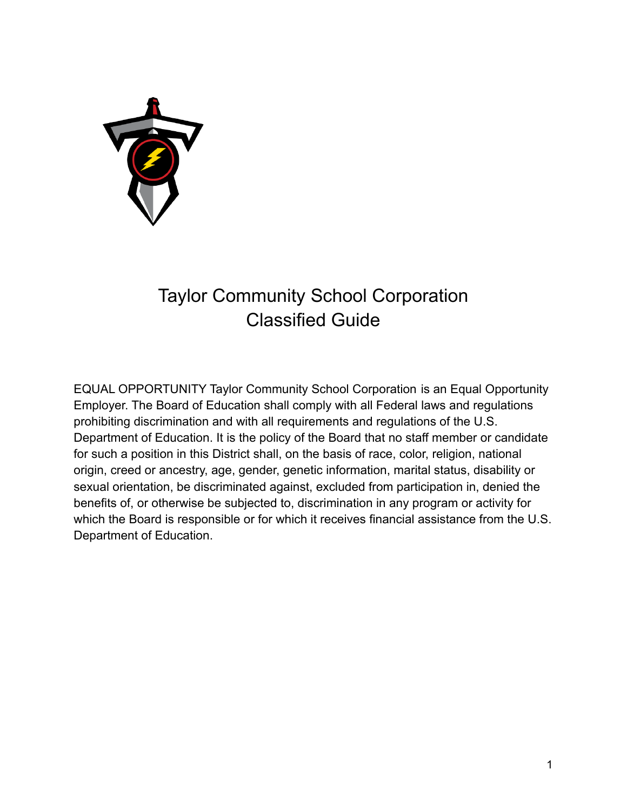

# Taylor Community School Corporation Classified Guide

EQUAL OPPORTUNITY Taylor Community School Corporation is an Equal Opportunity Employer. The Board of Education shall comply with all Federal laws and regulations prohibiting discrimination and with all requirements and regulations of the U.S. Department of Education. It is the policy of the Board that no staff member or candidate for such a position in this District shall, on the basis of race, color, religion, national origin, creed or ancestry, age, gender, genetic information, marital status, disability or sexual orientation, be discriminated against, excluded from participation in, denied the benefits of, or otherwise be subjected to, discrimination in any program or activity for which the Board is responsible or for which it receives financial assistance from the U.S. Department of Education.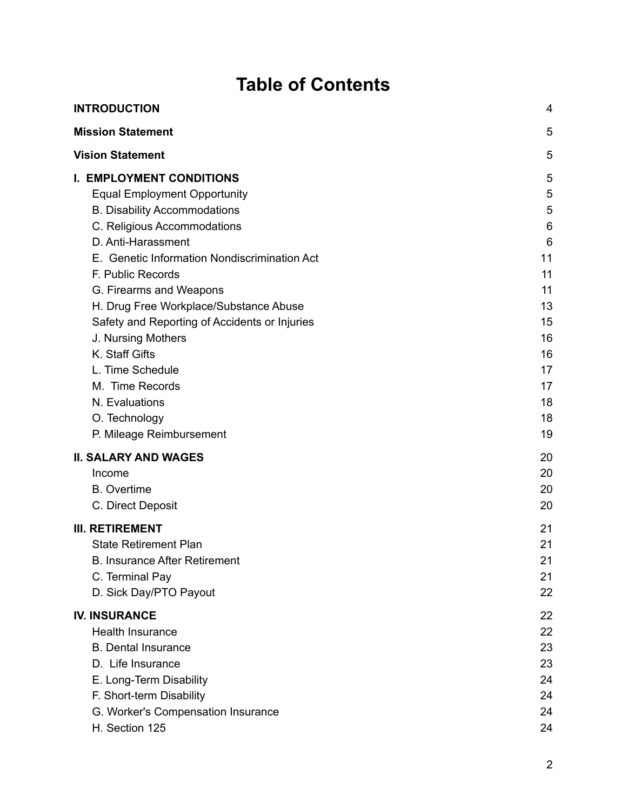# **Table of Contents**

| <b>INTRODUCTION</b>                           |    |
|-----------------------------------------------|----|
| <b>Mission Statement</b>                      | 5  |
| <b>Vision Statement</b>                       | 5  |
| <b>I. EMPLOYMENT CONDITIONS</b>               | 5  |
| <b>Equal Employment Opportunity</b>           | 5  |
| <b>B. Disability Accommodations</b>           | 5  |
| C. Religious Accommodations                   | 6  |
| D. Anti-Harassment                            | 6  |
| E. Genetic Information Nondiscrimination Act  | 11 |
| F. Public Records                             | 11 |
| G. Firearms and Weapons                       | 11 |
| H. Drug Free Workplace/Substance Abuse        | 13 |
| Safety and Reporting of Accidents or Injuries | 15 |
| J. Nursing Mothers                            | 16 |
| K. Staff Gifts                                | 16 |
| L. Time Schedule                              | 17 |
| M. Time Records                               | 17 |
| N. Evaluations                                | 18 |
| O. Technology                                 | 18 |
| P. Mileage Reimbursement                      | 19 |
| <b>II. SALARY AND WAGES</b>                   | 20 |
| Income                                        | 20 |
| <b>B.</b> Overtime                            | 20 |
| C. Direct Deposit                             | 20 |
| <b>III. RETIREMENT</b>                        | 21 |
| <b>State Retirement Plan</b>                  | 21 |
| <b>B. Insurance After Retirement</b>          | 21 |
| C. Terminal Pay                               | 21 |
| D. Sick Day/PTO Payout                        | 22 |
| <b>IV. INSURANCE</b>                          | 22 |
| <b>Health Insurance</b>                       | 22 |
| <b>B.</b> Dental Insurance                    | 23 |
| D. Life Insurance                             | 23 |
| E. Long-Term Disability                       | 24 |
| F. Short-term Disability                      | 24 |
| G. Worker's Compensation Insurance            | 24 |
| H. Section 125                                | 24 |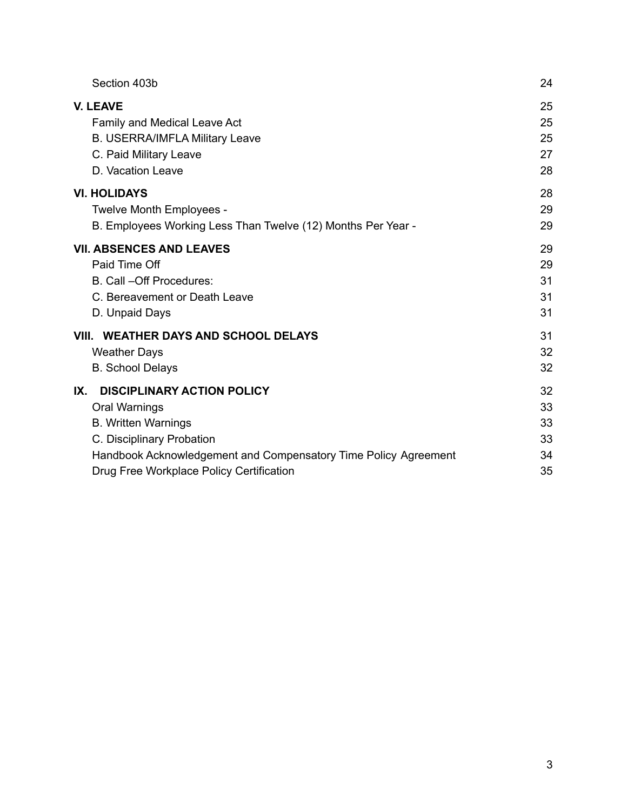| Section 403b                                                    | 24 |
|-----------------------------------------------------------------|----|
| <b>V. LEAVE</b>                                                 | 25 |
| Family and Medical Leave Act                                    | 25 |
| <b>B. USERRA/IMFLA Military Leave</b>                           | 25 |
| C. Paid Military Leave                                          | 27 |
| D. Vacation Leave                                               | 28 |
| <b>VI. HOLIDAYS</b>                                             | 28 |
| Twelve Month Employees -                                        | 29 |
| B. Employees Working Less Than Twelve (12) Months Per Year -    | 29 |
| <b>VII. ABSENCES AND LEAVES</b>                                 | 29 |
| Paid Time Off                                                   | 29 |
| B. Call -Off Procedures:                                        | 31 |
| C. Bereavement or Death Leave                                   | 31 |
| D. Unpaid Days                                                  | 31 |
| VIII. WEATHER DAYS AND SCHOOL DELAYS                            | 31 |
| <b>Weather Days</b>                                             | 32 |
| <b>B.</b> School Delays                                         | 32 |
| <b>DISCIPLINARY ACTION POLICY</b><br>IX.                        | 32 |
| Oral Warnings                                                   | 33 |
| <b>B. Written Warnings</b>                                      | 33 |
| C. Disciplinary Probation                                       | 33 |
| Handbook Acknowledgement and Compensatory Time Policy Agreement | 34 |
| Drug Free Workplace Policy Certification                        | 35 |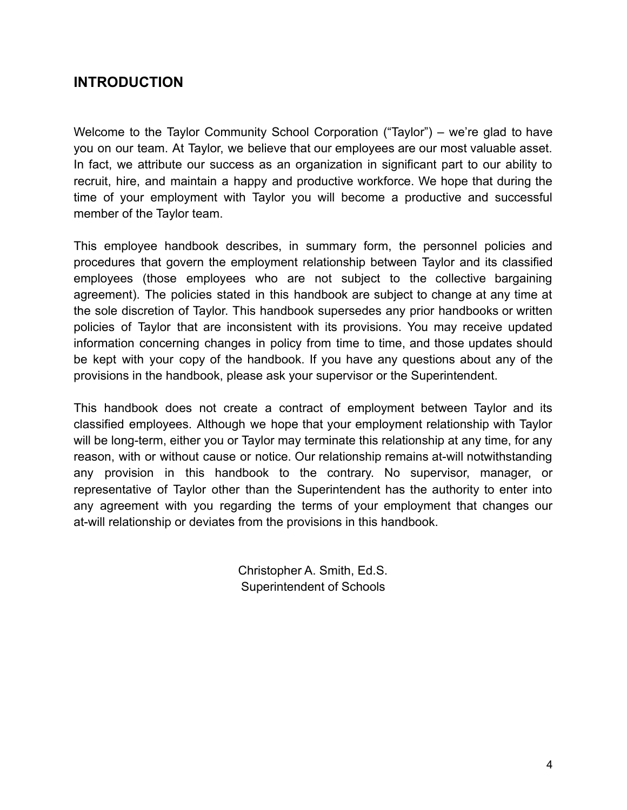# <span id="page-3-0"></span>**INTRODUCTION**

Welcome to the Taylor Community School Corporation ("Taylor") – we're glad to have you on our team. At Taylor, we believe that our employees are our most valuable asset. In fact, we attribute our success as an organization in significant part to our ability to recruit, hire, and maintain a happy and productive workforce. We hope that during the time of your employment with Taylor you will become a productive and successful member of the Taylor team.

This employee handbook describes, in summary form, the personnel policies and procedures that govern the employment relationship between Taylor and its classified employees (those employees who are not subject to the collective bargaining agreement). The policies stated in this handbook are subject to change at any time at the sole discretion of Taylor. This handbook supersedes any prior handbooks or written policies of Taylor that are inconsistent with its provisions. You may receive updated information concerning changes in policy from time to time, and those updates should be kept with your copy of the handbook. If you have any questions about any of the provisions in the handbook, please ask your supervisor or the Superintendent.

This handbook does not create a contract of employment between Taylor and its classified employees. Although we hope that your employment relationship with Taylor will be long-term, either you or Taylor may terminate this relationship at any time, for any reason, with or without cause or notice. Our relationship remains at-will notwithstanding any provision in this handbook to the contrary. No supervisor, manager, or representative of Taylor other than the Superintendent has the authority to enter into any agreement with you regarding the terms of your employment that changes our at-will relationship or deviates from the provisions in this handbook.

> Christopher A. Smith, Ed.S. Superintendent of Schools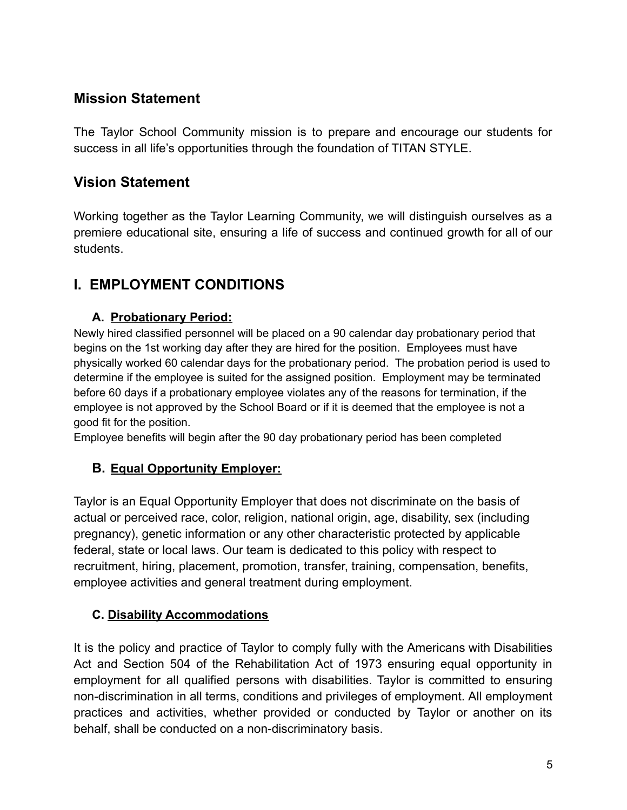# <span id="page-4-0"></span>**Mission Statement**

The Taylor School Community mission is to prepare and encourage our students for success in all life's opportunities through the foundation of TITAN STYLE.

# <span id="page-4-1"></span>**Vision Statement**

Working together as the Taylor Learning Community, we will distinguish ourselves as a premiere educational site, ensuring a life of success and continued growth for all of our students.

# <span id="page-4-2"></span>**I. EMPLOYMENT CONDITIONS**

#### **A. Probationary Period:**

Newly hired classified personnel will be placed on a 90 calendar day probationary period that begins on the 1st working day after they are hired for the position. Employees must have physically worked 60 calendar days for the probationary period. The probation period is used to determine if the employee is suited for the assigned position. Employment may be terminated before 60 days if a probationary employee violates any of the reasons for termination, if the employee is not approved by the School Board or if it is deemed that the employee is not a good fit for the position.

Employee benefits will begin after the 90 day probationary period has been completed

# **B. Equal Opportunity Employer:**

Taylor is an Equal Opportunity Employer that does not discriminate on the basis of actual or perceived race, color, religion, national origin, age, disability, sex (including pregnancy), genetic information or any other characteristic protected by applicable federal, state or local laws. Our team is dedicated to this policy with respect to recruitment, hiring, placement, promotion, transfer, training, compensation, benefits, employee activities and general treatment during employment.

# <span id="page-4-3"></span>**C. Disability Accommodations**

It is the policy and practice of Taylor to comply fully with the Americans with Disabilities Act and Section 504 of the Rehabilitation Act of 1973 ensuring equal opportunity in employment for all qualified persons with disabilities. Taylor is committed to ensuring non-discrimination in all terms, conditions and privileges of employment. All employment practices and activities, whether provided or conducted by Taylor or another on its behalf, shall be conducted on a non-discriminatory basis.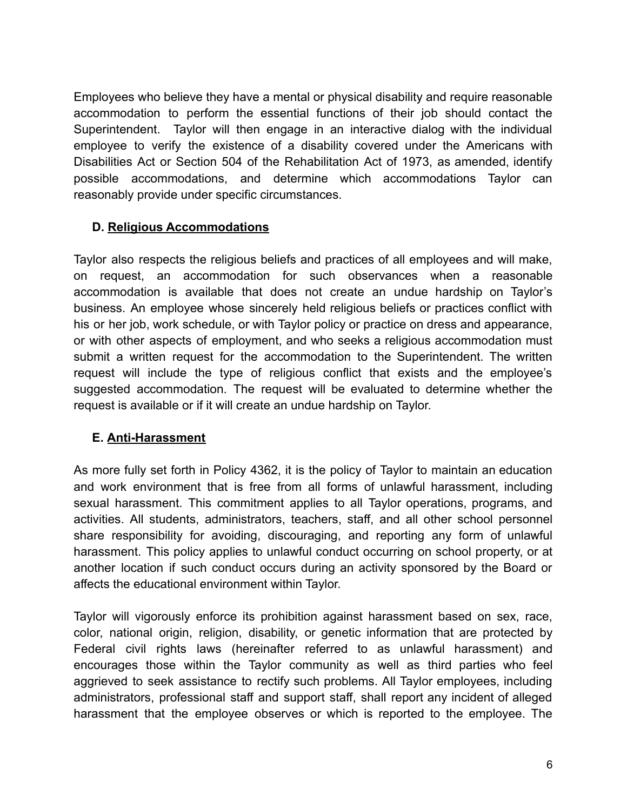Employees who believe they have a mental or physical disability and require reasonable accommodation to perform the essential functions of their job should contact the Superintendent. Taylor will then engage in an interactive dialog with the individual employee to verify the existence of a disability covered under the Americans with Disabilities Act or Section 504 of the Rehabilitation Act of 1973, as amended, identify possible accommodations, and determine which accommodations Taylor can reasonably provide under specific circumstances.

#### <span id="page-5-0"></span>**D. Religious Accommodations**

Taylor also respects the religious beliefs and practices of all employees and will make, on request, an accommodation for such observances when a reasonable accommodation is available that does not create an undue hardship on Taylor's business. An employee whose sincerely held religious beliefs or practices conflict with his or her job, work schedule, or with Taylor policy or practice on dress and appearance, or with other aspects of employment, and who seeks a religious accommodation must submit a written request for the accommodation to the Superintendent. The written request will include the type of religious conflict that exists and the employee's suggested accommodation. The request will be evaluated to determine whether the request is available or if it will create an undue hardship on Taylor.

#### <span id="page-5-1"></span>**E. Anti-Harassment**

As more fully set forth in Policy 4362, it is the policy of Taylor to maintain an education and work environment that is free from all forms of unlawful harassment, including sexual harassment. This commitment applies to all Taylor operations, programs, and activities. All students, administrators, teachers, staff, and all other school personnel share responsibility for avoiding, discouraging, and reporting any form of unlawful harassment. This policy applies to unlawful conduct occurring on school property, or at another location if such conduct occurs during an activity sponsored by the Board or affects the educational environment within Taylor.

Taylor will vigorously enforce its prohibition against harassment based on sex, race, color, national origin, religion, disability, or genetic information that are protected by Federal civil rights laws (hereinafter referred to as unlawful harassment) and encourages those within the Taylor community as well as third parties who feel aggrieved to seek assistance to rectify such problems. All Taylor employees, including administrators, professional staff and support staff, shall report any incident of alleged harassment that the employee observes or which is reported to the employee. The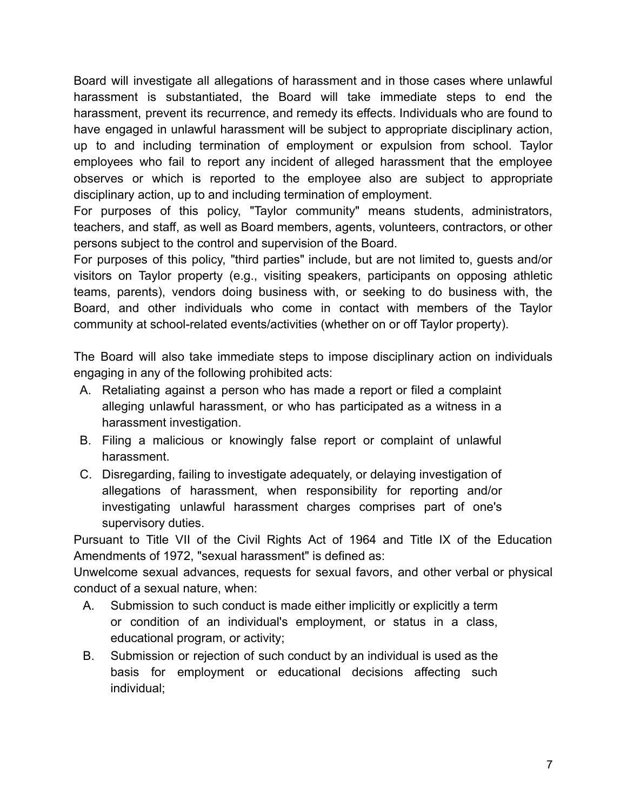Board will investigate all allegations of harassment and in those cases where unlawful harassment is substantiated, the Board will take immediate steps to end the harassment, prevent its recurrence, and remedy its effects. Individuals who are found to have engaged in unlawful harassment will be subject to appropriate disciplinary action, up to and including termination of employment or expulsion from school. Taylor employees who fail to report any incident of alleged harassment that the employee observes or which is reported to the employee also are subject to appropriate disciplinary action, up to and including termination of employment.

For purposes of this policy, "Taylor community" means students, administrators, teachers, and staff, as well as Board members, agents, volunteers, contractors, or other persons subject to the control and supervision of the Board.

For purposes of this policy, "third parties" include, but are not limited to, guests and/or visitors on Taylor property (e.g., visiting speakers, participants on opposing athletic teams, parents), vendors doing business with, or seeking to do business with, the Board, and other individuals who come in contact with members of the Taylor community at school-related events/activities (whether on or off Taylor property).

The Board will also take immediate steps to impose disciplinary action on individuals engaging in any of the following prohibited acts:

- A. Retaliating against a person who has made a report or filed a complaint alleging unlawful harassment, or who has participated as a witness in a harassment investigation.
- B. Filing a malicious or knowingly false report or complaint of unlawful harassment.
- C. Disregarding, failing to investigate adequately, or delaying investigation of allegations of harassment, when responsibility for reporting and/or investigating unlawful harassment charges comprises part of one's supervisory duties.

Pursuant to Title VII of the Civil Rights Act of 1964 and Title IX of the Education Amendments of 1972, "sexual harassment" is defined as:

Unwelcome sexual advances, requests for sexual favors, and other verbal or physical conduct of a sexual nature, when:

- A. Submission to such conduct is made either implicitly or explicitly a term or condition of an individual's employment, or status in a class, educational program, or activity;
- B. Submission or rejection of such conduct by an individual is used as the basis for employment or educational decisions affecting such individual;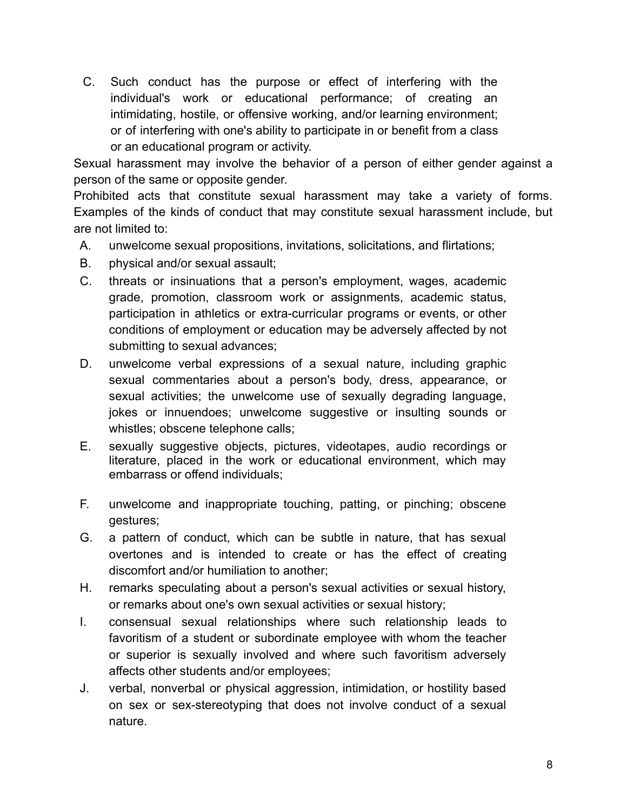C. Such conduct has the purpose or effect of interfering with the individual's work or educational performance; of creating an intimidating, hostile, or offensive working, and/or learning environment; or of interfering with one's ability to participate in or benefit from a class or an educational program or activity.

Sexual harassment may involve the behavior of a person of either gender against a person of the same or opposite gender.

Prohibited acts that constitute sexual harassment may take a variety of forms. Examples of the kinds of conduct that may constitute sexual harassment include, but are not limited to:

- A. unwelcome sexual propositions, invitations, solicitations, and flirtations;
- B. physical and/or sexual assault;
- C. threats or insinuations that a person's employment, wages, academic grade, promotion, classroom work or assignments, academic status, participation in athletics or extra-curricular programs or events, or other conditions of employment or education may be adversely affected by not submitting to sexual advances;
- D. unwelcome verbal expressions of a sexual nature, including graphic sexual commentaries about a person's body, dress, appearance, or sexual activities; the unwelcome use of sexually degrading language, jokes or innuendoes; unwelcome suggestive or insulting sounds or whistles; obscene telephone calls;
- E. sexually suggestive objects, pictures, videotapes, audio recordings or literature, placed in the work or educational environment, which may embarrass or offend individuals;
- F. unwelcome and inappropriate touching, patting, or pinching; obscene gestures;
- G. a pattern of conduct, which can be subtle in nature, that has sexual overtones and is intended to create or has the effect of creating discomfort and/or humiliation to another;
- H. remarks speculating about a person's sexual activities or sexual history, or remarks about one's own sexual activities or sexual history;
- I. consensual sexual relationships where such relationship leads to favoritism of a student or subordinate employee with whom the teacher or superior is sexually involved and where such favoritism adversely affects other students and/or employees;
- J. verbal, nonverbal or physical aggression, intimidation, or hostility based on sex or sex-stereotyping that does not involve conduct of a sexual nature.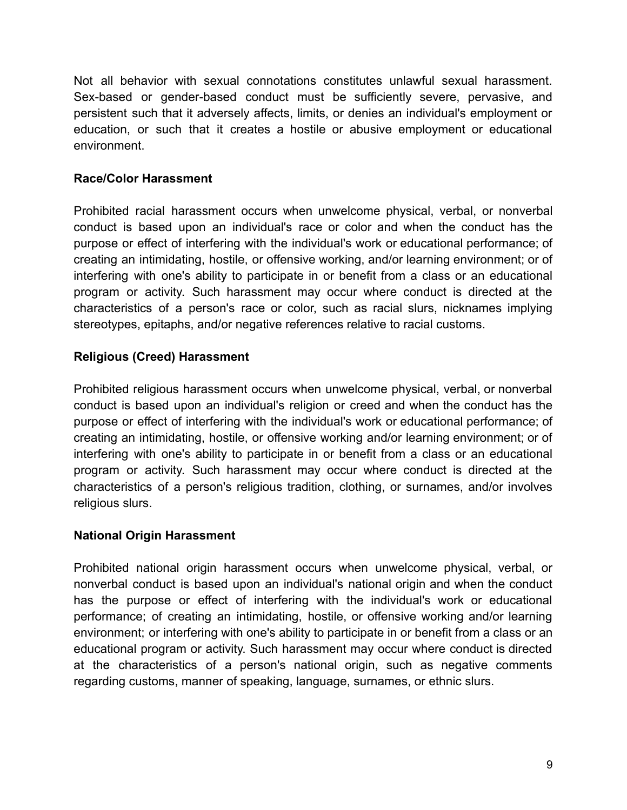Not all behavior with sexual connotations constitutes unlawful sexual harassment. Sex-based or gender-based conduct must be sufficiently severe, pervasive, and persistent such that it adversely affects, limits, or denies an individual's employment or education, or such that it creates a hostile or abusive employment or educational environment.

#### **Race/Color Harassment**

Prohibited racial harassment occurs when unwelcome physical, verbal, or nonverbal conduct is based upon an individual's race or color and when the conduct has the purpose or effect of interfering with the individual's work or educational performance; of creating an intimidating, hostile, or offensive working, and/or learning environment; or of interfering with one's ability to participate in or benefit from a class or an educational program or activity. Such harassment may occur where conduct is directed at the characteristics of a person's race or color, such as racial slurs, nicknames implying stereotypes, epitaphs, and/or negative references relative to racial customs.

#### **Religious (Creed) Harassment**

Prohibited religious harassment occurs when unwelcome physical, verbal, or nonverbal conduct is based upon an individual's religion or creed and when the conduct has the purpose or effect of interfering with the individual's work or educational performance; of creating an intimidating, hostile, or offensive working and/or learning environment; or of interfering with one's ability to participate in or benefit from a class or an educational program or activity. Such harassment may occur where conduct is directed at the characteristics of a person's religious tradition, clothing, or surnames, and/or involves religious slurs.

#### **National Origin Harassment**

Prohibited national origin harassment occurs when unwelcome physical, verbal, or nonverbal conduct is based upon an individual's national origin and when the conduct has the purpose or effect of interfering with the individual's work or educational performance; of creating an intimidating, hostile, or offensive working and/or learning environment; or interfering with one's ability to participate in or benefit from a class or an educational program or activity. Such harassment may occur where conduct is directed at the characteristics of a person's national origin, such as negative comments regarding customs, manner of speaking, language, surnames, or ethnic slurs.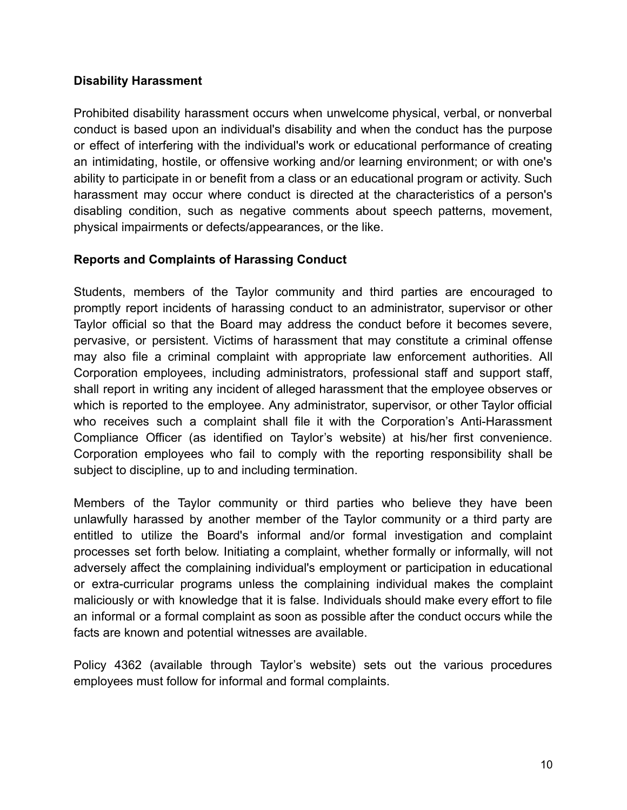#### **Disability Harassment**

Prohibited disability harassment occurs when unwelcome physical, verbal, or nonverbal conduct is based upon an individual's disability and when the conduct has the purpose or effect of interfering with the individual's work or educational performance of creating an intimidating, hostile, or offensive working and/or learning environment; or with one's ability to participate in or benefit from a class or an educational program or activity. Such harassment may occur where conduct is directed at the characteristics of a person's disabling condition, such as negative comments about speech patterns, movement, physical impairments or defects/appearances, or the like.

#### **Reports and Complaints of Harassing Conduct**

Students, members of the Taylor community and third parties are encouraged to promptly report incidents of harassing conduct to an administrator, supervisor or other Taylor official so that the Board may address the conduct before it becomes severe, pervasive, or persistent. Victims of harassment that may constitute a criminal offense may also file a criminal complaint with appropriate law enforcement authorities. All Corporation employees, including administrators, professional staff and support staff, shall report in writing any incident of alleged harassment that the employee observes or which is reported to the employee. Any administrator, supervisor, or other Taylor official who receives such a complaint shall file it with the Corporation's Anti-Harassment Compliance Officer (as identified on Taylor's website) at his/her first convenience. Corporation employees who fail to comply with the reporting responsibility shall be subject to discipline, up to and including termination.

Members of the Taylor community or third parties who believe they have been unlawfully harassed by another member of the Taylor community or a third party are entitled to utilize the Board's informal and/or formal investigation and complaint processes set forth below. Initiating a complaint, whether formally or informally, will not adversely affect the complaining individual's employment or participation in educational or extra-curricular programs unless the complaining individual makes the complaint maliciously or with knowledge that it is false. Individuals should make every effort to file an informal or a formal complaint as soon as possible after the conduct occurs while the facts are known and potential witnesses are available.

Policy 4362 (available through Taylor's website) sets out the various procedures employees must follow for informal and formal complaints.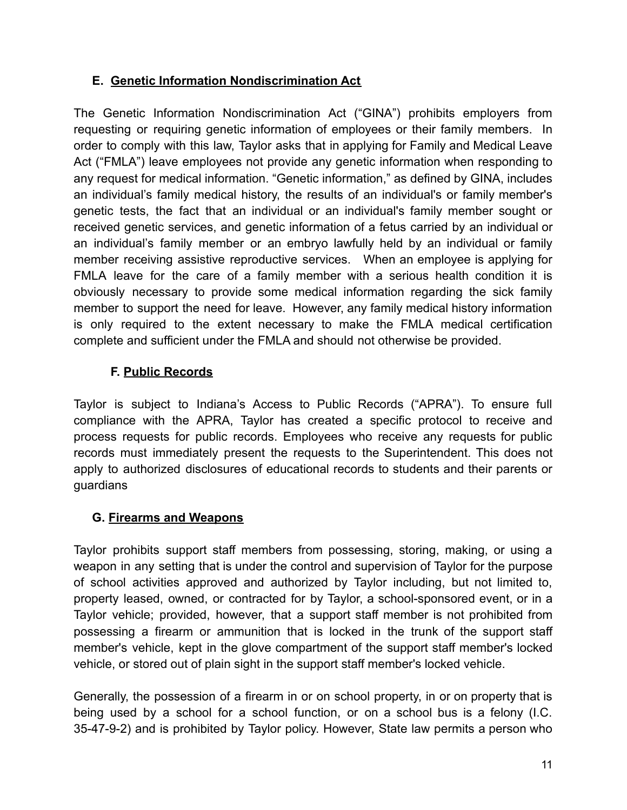#### <span id="page-10-0"></span>**E. Genetic Information Nondiscrimination Act**

The Genetic Information Nondiscrimination Act ("GINA") prohibits employers from requesting or requiring genetic information of employees or their family members. In order to comply with this law, Taylor asks that in applying for Family and Medical Leave Act ("FMLA") leave employees not provide any genetic information when responding to any request for medical information. "Genetic information," as defined by GINA, includes an individual's family medical history, the results of an individual's or family member's genetic tests, the fact that an individual or an individual's family member sought or received genetic services, and genetic information of a fetus carried by an individual or an individual's family member or an embryo lawfully held by an individual or family member receiving assistive reproductive services. When an employee is applying for FMLA leave for the care of a family member with a serious health condition it is obviously necessary to provide some medical information regarding the sick family member to support the need for leave. However, any family medical history information is only required to the extent necessary to make the FMLA medical certification complete and sufficient under the FMLA and should not otherwise be provided.

# **F. Public Records**

<span id="page-10-1"></span>Taylor is subject to Indiana's Access to Public Records ("APRA"). To ensure full compliance with the APRA, Taylor has created a specific protocol to receive and process requests for public records. Employees who receive any requests for public records must immediately present the requests to the Superintendent. This does not apply to authorized disclosures of educational records to students and their parents or guardians

#### <span id="page-10-2"></span>**G. Firearms and Weapons**

Taylor prohibits support staff members from possessing, storing, making, or using a weapon in any setting that is under the control and supervision of Taylor for the purpose of school activities approved and authorized by Taylor including, but not limited to, property leased, owned, or contracted for by Taylor, a school-sponsored event, or in a Taylor vehicle; provided, however, that a support staff member is not prohibited from possessing a firearm or ammunition that is locked in the trunk of the support staff member's vehicle, kept in the glove compartment of the support staff member's locked vehicle, or stored out of plain sight in the support staff member's locked vehicle.

Generally, the possession of a firearm in or on school property, in or on property that is being used by a school for a school function, or on a school bus is a felony (I.C. 35-47-9-2) and is prohibited by Taylor policy. However, State law permits a person who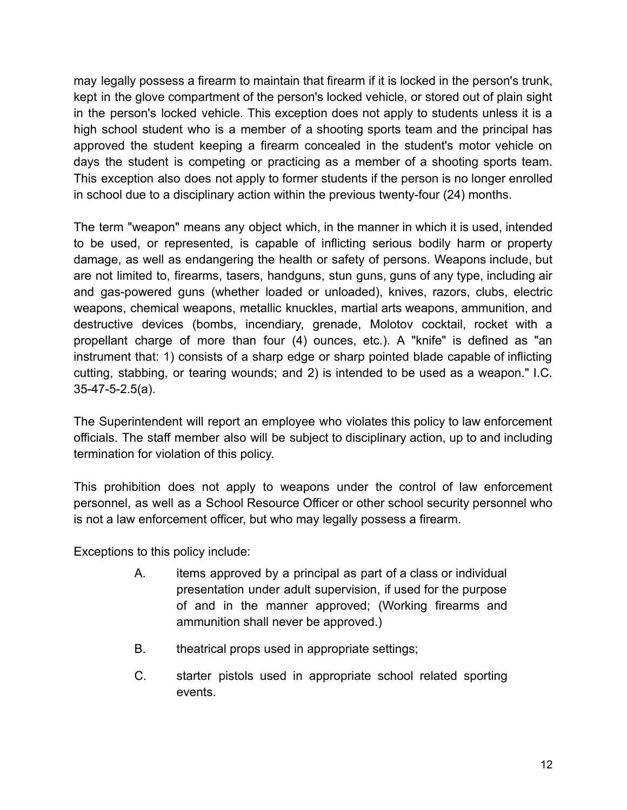may legally possess a firearm to maintain that firearm if it is locked in the person's trunk, kept in the glove compartment of the person's locked vehicle, or stored out of plain sight in the person's locked vehicle. This exception does not apply to students unless it is a high school student who is a member of a shooting sports team and the principal has approved the student keeping a firearm concealed in the student's motor vehicle on days the student is competing or practicing as a member of a shooting sports team. This exception also does not apply to former students if the person is no longer enrolled in school due to a disciplinary action within the previous twenty-four (24) months.

The term "weapon" means any object which, in the manner in which it is used, intended to be used, or represented, is capable of inflicting serious bodily harm or property damage, as well as endangering the health or safety of persons. Weapons include, but are not limited to, firearms, tasers, handguns, stun guns, guns of any type, including air and gas-powered guns (whether loaded or unloaded), knives, razors, clubs, electric weapons, chemical weapons, metallic knuckles, martial arts weapons, ammunition, and destructive devices (bombs, incendiary, grenade, Molotov cocktail, rocket with a propellant charge of more than four (4) ounces, etc.). A "knife" is defined as "an instrument that: 1) consists of a sharp edge or sharp pointed blade capable of inflicting cutting, stabbing, or tearing wounds; and 2) is intended to be used as a weapon." I.C. 35-47-5-2.5(a).

The Superintendent will report an employee who violates this policy to law enforcement officials. The staff member also will be subject to disciplinary action, up to and including termination for violation of this policy.

This prohibition does not apply to weapons under the control of law enforcement personnel, as well as a School Resource Officer or other school security personnel who is not a law enforcement officer, but who may legally possess a firearm.

Exceptions to this policy include:

- A. items approved by a principal as part of a class or individual presentation under adult supervision, if used for the purpose of and in the manner approved; (Working firearms and ammunition shall never be approved.)
- B. theatrical props used in appropriate settings;
- C. starter pistols used in appropriate school related sporting events.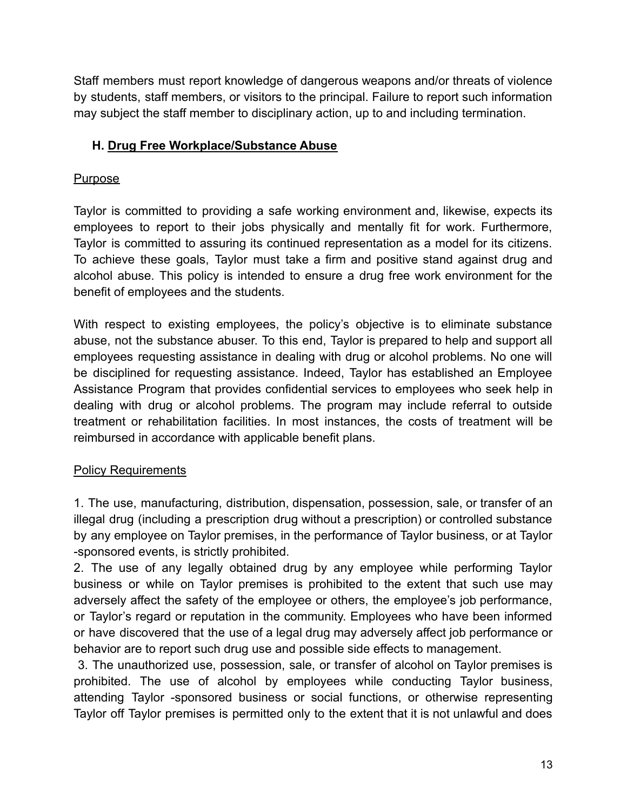Staff members must report knowledge of dangerous weapons and/or threats of violence by students, staff members, or visitors to the principal. Failure to report such information may subject the staff member to disciplinary action, up to and including termination.

#### <span id="page-12-0"></span>**H. Drug Free Workplace/Substance Abuse**

#### **Purpose**

Taylor is committed to providing a safe working environment and, likewise, expects its employees to report to their jobs physically and mentally fit for work. Furthermore, Taylor is committed to assuring its continued representation as a model for its citizens. To achieve these goals, Taylor must take a firm and positive stand against drug and alcohol abuse. This policy is intended to ensure a drug free work environment for the benefit of employees and the students.

With respect to existing employees, the policy's objective is to eliminate substance abuse, not the substance abuser. To this end, Taylor is prepared to help and support all employees requesting assistance in dealing with drug or alcohol problems. No one will be disciplined for requesting assistance. Indeed, Taylor has established an Employee Assistance Program that provides confidential services to employees who seek help in dealing with drug or alcohol problems. The program may include referral to outside treatment or rehabilitation facilities. In most instances, the costs of treatment will be reimbursed in accordance with applicable benefit plans.

#### **Policy Requirements**

1. The use, manufacturing, distribution, dispensation, possession, sale, or transfer of an illegal drug (including a prescription drug without a prescription) or controlled substance by any employee on Taylor premises, in the performance of Taylor business, or at Taylor -sponsored events, is strictly prohibited.

2. The use of any legally obtained drug by any employee while performing Taylor business or while on Taylor premises is prohibited to the extent that such use may adversely affect the safety of the employee or others, the employee's job performance, or Taylor's regard or reputation in the community. Employees who have been informed or have discovered that the use of a legal drug may adversely affect job performance or behavior are to report such drug use and possible side effects to management.

3. The unauthorized use, possession, sale, or transfer of alcohol on Taylor premises is prohibited. The use of alcohol by employees while conducting Taylor business, attending Taylor -sponsored business or social functions, or otherwise representing Taylor off Taylor premises is permitted only to the extent that it is not unlawful and does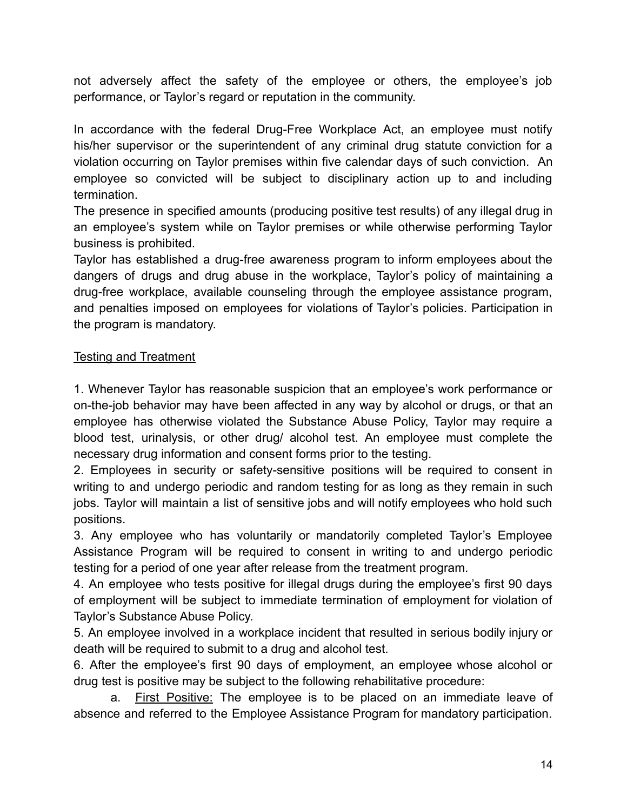not adversely affect the safety of the employee or others, the employee's job performance, or Taylor's regard or reputation in the community.

In accordance with the federal Drug-Free Workplace Act, an employee must notify his/her supervisor or the superintendent of any criminal drug statute conviction for a violation occurring on Taylor premises within five calendar days of such conviction. An employee so convicted will be subject to disciplinary action up to and including termination.

The presence in specified amounts (producing positive test results) of any illegal drug in an employee's system while on Taylor premises or while otherwise performing Taylor business is prohibited.

Taylor has established a drug-free awareness program to inform employees about the dangers of drugs and drug abuse in the workplace, Taylor's policy of maintaining a drug-free workplace, available counseling through the employee assistance program, and penalties imposed on employees for violations of Taylor's policies. Participation in the program is mandatory.

#### Testing and Treatment

1. Whenever Taylor has reasonable suspicion that an employee's work performance or on-the-job behavior may have been affected in any way by alcohol or drugs, or that an employee has otherwise violated the Substance Abuse Policy, Taylor may require a blood test, urinalysis, or other drug/ alcohol test. An employee must complete the necessary drug information and consent forms prior to the testing.

2. Employees in security or safety-sensitive positions will be required to consent in writing to and undergo periodic and random testing for as long as they remain in such jobs. Taylor will maintain a list of sensitive jobs and will notify employees who hold such positions.

3. Any employee who has voluntarily or mandatorily completed Taylor's Employee Assistance Program will be required to consent in writing to and undergo periodic testing for a period of one year after release from the treatment program.

4. An employee who tests positive for illegal drugs during the employee's first 90 days of employment will be subject to immediate termination of employment for violation of Taylor's Substance Abuse Policy.

5. An employee involved in a workplace incident that resulted in serious bodily injury or death will be required to submit to a drug and alcohol test.

6. After the employee's first 90 days of employment, an employee whose alcohol or drug test is positive may be subject to the following rehabilitative procedure:

a. First Positive: The employee is to be placed on an immediate leave of absence and referred to the Employee Assistance Program for mandatory participation.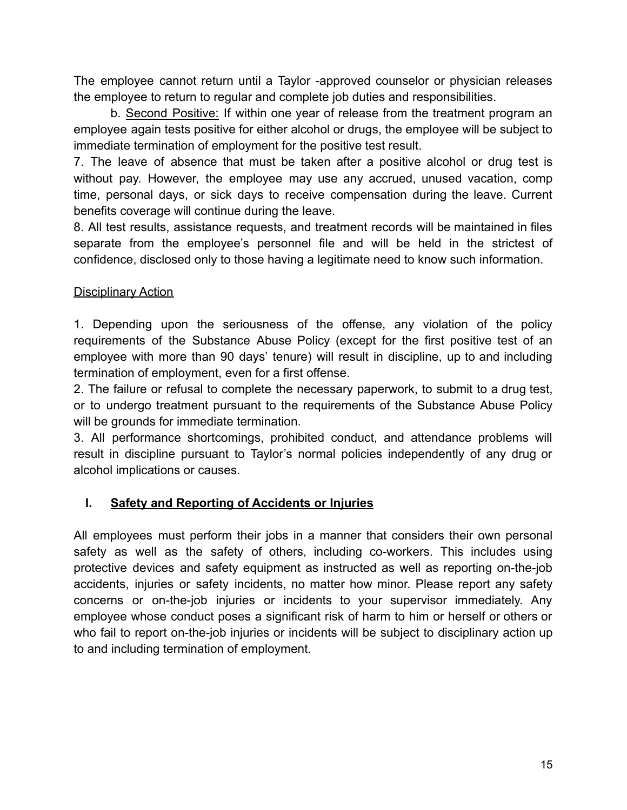The employee cannot return until a Taylor -approved counselor or physician releases the employee to return to regular and complete job duties and responsibilities.

b. Second Positive: If within one year of release from the treatment program an employee again tests positive for either alcohol or drugs, the employee will be subject to immediate termination of employment for the positive test result.

7. The leave of absence that must be taken after a positive alcohol or drug test is without pay. However, the employee may use any accrued, unused vacation, comp time, personal days, or sick days to receive compensation during the leave. Current benefits coverage will continue during the leave.

8. All test results, assistance requests, and treatment records will be maintained in files separate from the employee's personnel file and will be held in the strictest of confidence, disclosed only to those having a legitimate need to know such information.

#### Disciplinary Action

1. Depending upon the seriousness of the offense, any violation of the policy requirements of the Substance Abuse Policy (except for the first positive test of an employee with more than 90 days' tenure) will result in discipline, up to and including termination of employment, even for a first offense.

2. The failure or refusal to complete the necessary paperwork, to submit to a drug test, or to undergo treatment pursuant to the requirements of the Substance Abuse Policy will be grounds for immediate termination.

3. All performance shortcomings, prohibited conduct, and attendance problems will result in discipline pursuant to Taylor's normal policies independently of any drug or alcohol implications or causes.

#### <span id="page-14-0"></span>**I. Safety and Reporting of Accidents or Injuries**

All employees must perform their jobs in a manner that considers their own personal safety as well as the safety of others, including co-workers. This includes using protective devices and safety equipment as instructed as well as reporting on-the-job accidents, injuries or safety incidents, no matter how minor. Please report any safety concerns or on-the-job injuries or incidents to your supervisor immediately. Any employee whose conduct poses a significant risk of harm to him or herself or others or who fail to report on-the-job injuries or incidents will be subject to disciplinary action up to and including termination of employment.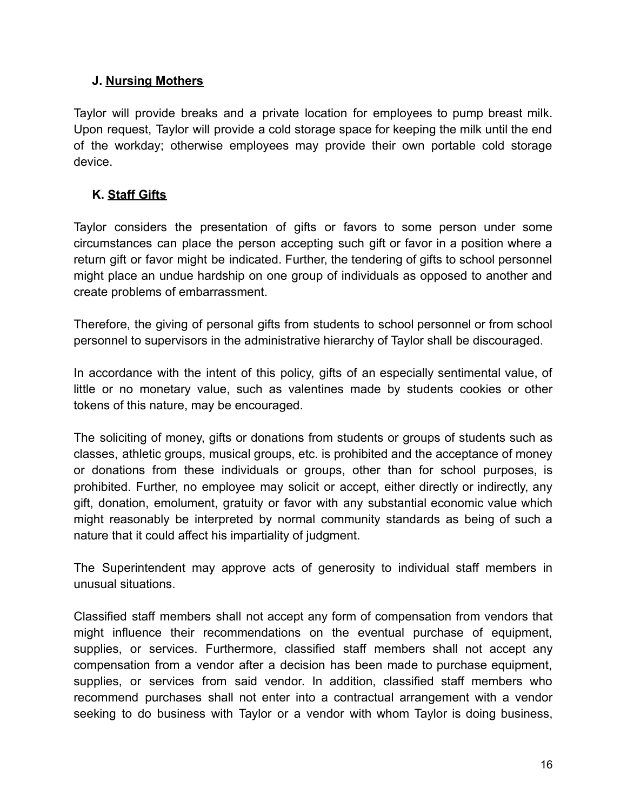#### <span id="page-15-0"></span>**J. Nursing Mothers**

Taylor will provide breaks and a private location for employees to pump breast milk. Upon request, Taylor will provide a cold storage space for keeping the milk until the end of the workday; otherwise employees may provide their own portable cold storage device.

#### <span id="page-15-1"></span>**K. Staff Gifts**

Taylor considers the presentation of gifts or favors to some person under some circumstances can place the person accepting such gift or favor in a position where a return gift or favor might be indicated. Further, the tendering of gifts to school personnel might place an undue hardship on one group of individuals as opposed to another and create problems of embarrassment.

Therefore, the giving of personal gifts from students to school personnel or from school personnel to supervisors in the administrative hierarchy of Taylor shall be discouraged.

In accordance with the intent of this policy, gifts of an especially sentimental value, of little or no monetary value, such as valentines made by students cookies or other tokens of this nature, may be encouraged.

The soliciting of money, gifts or donations from students or groups of students such as classes, athletic groups, musical groups, etc. is prohibited and the acceptance of money or donations from these individuals or groups, other than for school purposes, is prohibited. Further, no employee may solicit or accept, either directly or indirectly, any gift, donation, emolument, gratuity or favor with any substantial economic value which might reasonably be interpreted by normal community standards as being of such a nature that it could affect his impartiality of judgment.

The Superintendent may approve acts of generosity to individual staff members in unusual situations.

Classified staff members shall not accept any form of compensation from vendors that might influence their recommendations on the eventual purchase of equipment, supplies, or services. Furthermore, classified staff members shall not accept any compensation from a vendor after a decision has been made to purchase equipment, supplies, or services from said vendor. In addition, classified staff members who recommend purchases shall not enter into a contractual arrangement with a vendor seeking to do business with Taylor or a vendor with whom Taylor is doing business,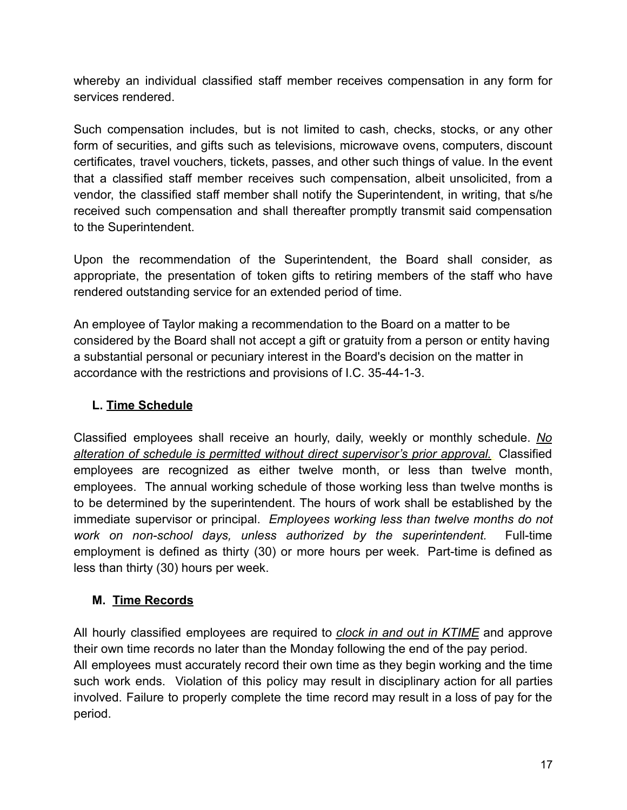whereby an individual classified staff member receives compensation in any form for services rendered.

Such compensation includes, but is not limited to cash, checks, stocks, or any other form of securities, and gifts such as televisions, microwave ovens, computers, discount certificates, travel vouchers, tickets, passes, and other such things of value. In the event that a classified staff member receives such compensation, albeit unsolicited, from a vendor, the classified staff member shall notify the Superintendent, in writing, that s/he received such compensation and shall thereafter promptly transmit said compensation to the Superintendent.

Upon the recommendation of the Superintendent, the Board shall consider, as appropriate, the presentation of token gifts to retiring members of the staff who have rendered outstanding service for an extended period of time.

An employee of Taylor making a recommendation to the Board on a matter to be considered by the Board shall not accept a gift or gratuity from a person or entity having a substantial personal or pecuniary interest in the Board's decision on the matter in accordance with the restrictions and provisions of I.C. 35-44-1-3.

### <span id="page-16-0"></span>**L. Time Schedule**

Classified employees shall receive an hourly, daily, weekly or monthly schedule. *No alteration of schedule is permitted without direct supervisor's prior approval..* Classified employees are recognized as either twelve month, or less than twelve month, employees. The annual working schedule of those working less than twelve months is to be determined by the superintendent. The hours of work shall be established by the immediate supervisor or principal. *Employees working less than twelve months do not work on non-school days, unless authorized by the superintendent.* Full-time employment is defined as thirty (30) or more hours per week. Part-time is defined as less than thirty (30) hours per week.

#### <span id="page-16-1"></span>**M. Time Records**

All hourly classified employees are required to *clock in and out in KTIME* and approve their own time records no later than the Monday following the end of the pay period. All employees must accurately record their own time as they begin working and the time such work ends. Violation of this policy may result in disciplinary action for all parties involved. Failure to properly complete the time record may result in a loss of pay for the period.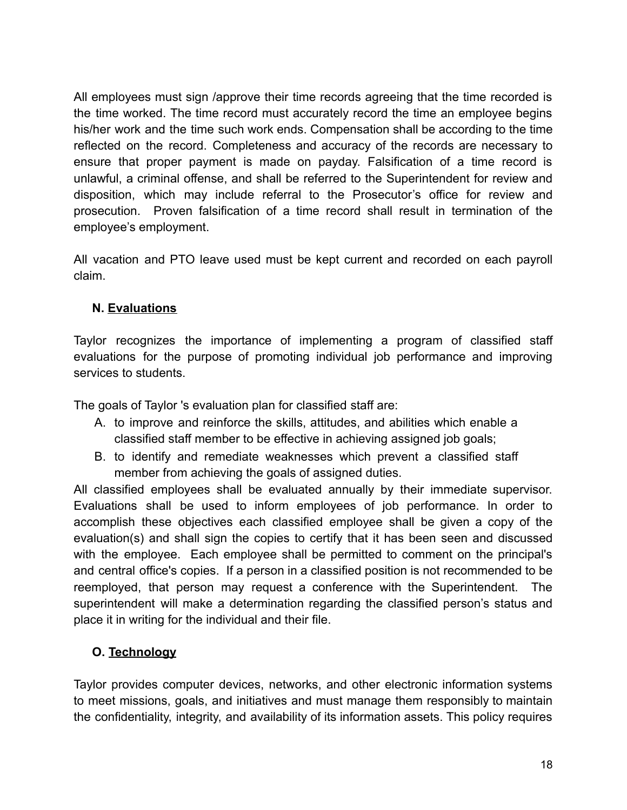All employees must sign /approve their time records agreeing that the time recorded is the time worked. The time record must accurately record the time an employee begins his/her work and the time such work ends. Compensation shall be according to the time reflected on the record. Completeness and accuracy of the records are necessary to ensure that proper payment is made on payday. Falsification of a time record is unlawful, a criminal offense, and shall be referred to the Superintendent for review and disposition, which may include referral to the Prosecutor's office for review and prosecution. Proven falsification of a time record shall result in termination of the employee's employment.

All vacation and PTO leave used must be kept current and recorded on each payroll claim.

#### <span id="page-17-0"></span>**N. Evaluations**

Taylor recognizes the importance of implementing a program of classified staff evaluations for the purpose of promoting individual job performance and improving services to students.

The goals of Taylor 's evaluation plan for classified staff are:

- A. to improve and reinforce the skills, attitudes, and abilities which enable a classified staff member to be effective in achieving assigned job goals;
- B. to identify and remediate weaknesses which prevent a classified staff member from achieving the goals of assigned duties.

All classified employees shall be evaluated annually by their immediate supervisor. Evaluations shall be used to inform employees of job performance. In order to accomplish these objectives each classified employee shall be given a copy of the evaluation(s) and shall sign the copies to certify that it has been seen and discussed with the employee. Each employee shall be permitted to comment on the principal's and central office's copies. If a person in a classified position is not recommended to be reemployed, that person may request a conference with the Superintendent. The superintendent will make a determination regarding the classified person's status and place it in writing for the individual and their file.

#### <span id="page-17-1"></span>**O. Technology**

Taylor provides computer devices, networks, and other electronic information systems to meet missions, goals, and initiatives and must manage them responsibly to maintain the confidentiality, integrity, and availability of its information assets. This policy requires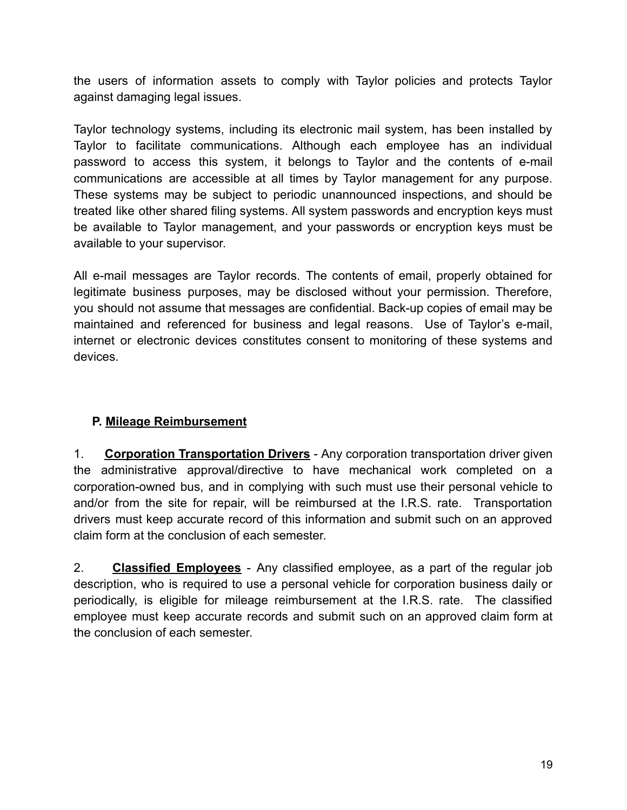the users of information assets to comply with Taylor policies and protects Taylor against damaging legal issues.

Taylor technology systems, including its electronic mail system, has been installed by Taylor to facilitate communications. Although each employee has an individual password to access this system, it belongs to Taylor and the contents of e-mail communications are accessible at all times by Taylor management for any purpose. These systems may be subject to periodic unannounced inspections, and should be treated like other shared filing systems. All system passwords and encryption keys must be available to Taylor management, and your passwords or encryption keys must be available to your supervisor.

All e-mail messages are Taylor records. The contents of email, properly obtained for legitimate business purposes, may be disclosed without your permission. Therefore, you should not assume that messages are confidential. Back-up copies of email may be maintained and referenced for business and legal reasons. Use of Taylor's e-mail, internet or electronic devices constitutes consent to monitoring of these systems and devices.

# <span id="page-18-0"></span>**P. Mileage Reimbursement**

1. **Corporation Transportation Drivers** - Any corporation transportation driver given the administrative approval/directive to have mechanical work completed on a corporation-owned bus, and in complying with such must use their personal vehicle to and/or from the site for repair, will be reimbursed at the I.R.S. rate. Transportation drivers must keep accurate record of this information and submit such on an approved claim form at the conclusion of each semester.

2. **Classified Employees** - Any classified employee, as a part of the regular job description, who is required to use a personal vehicle for corporation business daily or periodically, is eligible for mileage reimbursement at the I.R.S. rate. The classified employee must keep accurate records and submit such on an approved claim form at the conclusion of each semester.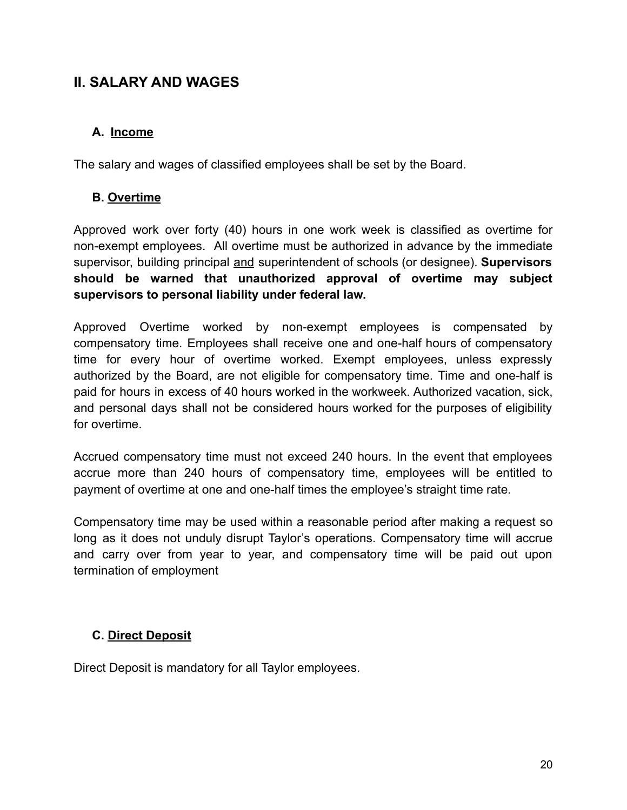# <span id="page-19-0"></span>**II. SALARY AND WAGES**

#### <span id="page-19-1"></span>**A. Income**

The salary and wages of classified employees shall be set by the Board.

#### <span id="page-19-2"></span>**B. Overtime**

Approved work over forty (40) hours in one work week is classified as overtime for non-exempt employees. All overtime must be authorized in advance by the immediate supervisor, building principal and superintendent of schools (or designee). **Supervisors should be warned that unauthorized approval of overtime may subject supervisors to personal liability under federal law.**

Approved Overtime worked by non-exempt employees is compensated by compensatory time. Employees shall receive one and one-half hours of compensatory time for every hour of overtime worked. Exempt employees, unless expressly authorized by the Board, are not eligible for compensatory time. Time and one-half is paid for hours in excess of 40 hours worked in the workweek. Authorized vacation, sick, and personal days shall not be considered hours worked for the purposes of eligibility for overtime.

Accrued compensatory time must not exceed 240 hours. In the event that employees accrue more than 240 hours of compensatory time, employees will be entitled to payment of overtime at one and one-half times the employee's straight time rate.

Compensatory time may be used within a reasonable period after making a request so long as it does not unduly disrupt Taylor's operations. Compensatory time will accrue and carry over from year to year, and compensatory time will be paid out upon termination of employment

#### <span id="page-19-3"></span>**C. Direct Deposit**

Direct Deposit is mandatory for all Taylor employees*.*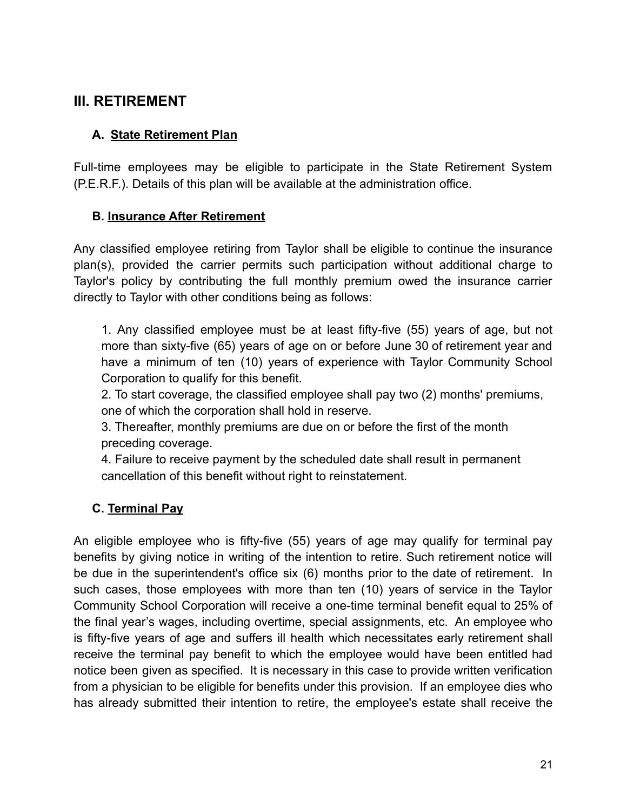# <span id="page-20-0"></span>**III. RETIREMENT**

#### <span id="page-20-1"></span>**A. State Retirement Plan**

Full-time employees may be eligible to participate in the State Retirement System (P.E.R.F.). Details of this plan will be available at the administration office.

#### <span id="page-20-2"></span>**B. Insurance After Retirement**

Any classified employee retiring from Taylor shall be eligible to continue the insurance plan(s), provided the carrier permits such participation without additional charge to Taylor's policy by contributing the full monthly premium owed the insurance carrier directly to Taylor with other conditions being as follows:

1. Any classified employee must be at least fifty-five (55) years of age, but not more than sixty-five (65) years of age on or before June 30 of retirement year and have a minimum of ten (10) years of experience with Taylor Community School Corporation to qualify for this benefit.

2. To start coverage, the classified employee shall pay two (2) months' premiums, one of which the corporation shall hold in reserve.

3. Thereafter, monthly premiums are due on or before the first of the month preceding coverage.

4. Failure to receive payment by the scheduled date shall result in permanent cancellation of this benefit without right to reinstatement.

#### <span id="page-20-3"></span>**C. Terminal Pay**

An eligible employee who is fifty-five (55) years of age may qualify for terminal pay benefits by giving notice in writing of the intention to retire. Such retirement notice will be due in the superintendent's office six (6) months prior to the date of retirement. In such cases, those employees with more than ten (10) years of service in the Taylor Community School Corporation will receive a one-time terminal benefit equal to 25% of the final year's wages, including overtime, special assignments, etc. An employee who is fifty-five years of age and suffers ill health which necessitates early retirement shall receive the terminal pay benefit to which the employee would have been entitled had notice been given as specified. It is necessary in this case to provide written verification from a physician to be eligible for benefits under this provision. If an employee dies who has already submitted their intention to retire, the employee's estate shall receive the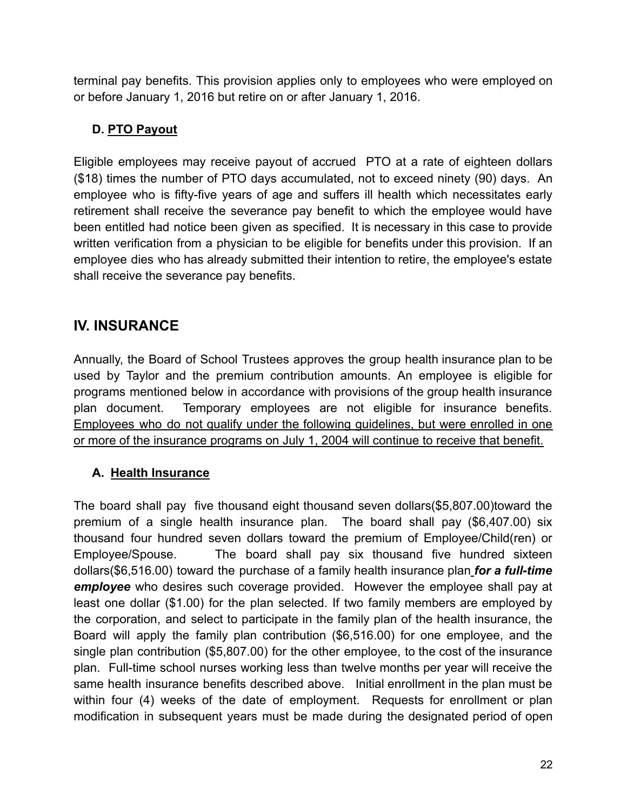terminal pay benefits. This provision applies only to employees who were employed on or before January 1, 2016 but retire on or after January 1, 2016.

# <span id="page-21-0"></span>**D. PTO Payout**

Eligible employees may receive payout of accrued PTO at a rate of eighteen dollars (\$18) times the number of PTO days accumulated, not to exceed ninety (90) days. An employee who is fifty-five years of age and suffers ill health which necessitates early retirement shall receive the severance pay benefit to which the employee would have been entitled had notice been given as specified. It is necessary in this case to provide written verification from a physician to be eligible for benefits under this provision. If an employee dies who has already submitted their intention to retire, the employee's estate shall receive the severance pay benefits.

# <span id="page-21-1"></span>**IV. INSURANCE**

Annually, the Board of School Trustees approves the group health insurance plan to be used by Taylor and the premium contribution amounts. An employee is eligible for programs mentioned below in accordance with provisions of the group health insurance plan document. Temporary employees are not eligible for insurance benefits. Employees who do not qualify under the following guidelines, but were enrolled in one or more of the insurance programs on July 1, 2004 will continue to receive that benefit.

# <span id="page-21-2"></span>**A. Health Insurance**

The board shall pay five thousand eight thousand seven dollars(\$5,807.00)toward the premium of a single health insurance plan. The board shall pay (\$6,407.00) six thousand four hundred seven dollars toward the premium of Employee/Child(ren) or Employee/Spouse. The board shall pay six thousand five hundred sixteen dollars(\$6,516.00) toward the purchase of a family health insurance plan *for a full-time employee* who desires such coverage provided. However the employee shall pay at least one dollar (\$1.00) for the plan selected. If two family members are employed by the corporation, and select to participate in the family plan of the health insurance, the Board will apply the family plan contribution (\$6,516.00) for one employee, and the single plan contribution (\$5,807.00) for the other employee, to the cost of the insurance plan. Full-time school nurses working less than twelve months per year will receive the same health insurance benefits described above. Initial enrollment in the plan must be within four (4) weeks of the date of employment. Requests for enrollment or plan modification in subsequent years must be made during the designated period of open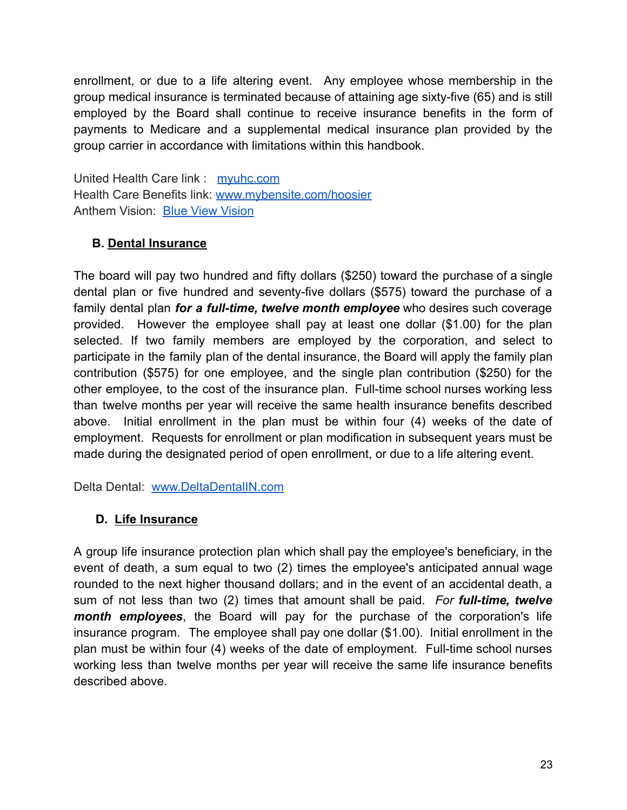enrollment, or due to a life altering event. Any employee whose membership in the group medical insurance is terminated because of attaining age sixty-five (65) and is still employed by the Board shall continue to receive insurance benefits in the form of payments to Medicare and a supplemental medical insurance plan provided by the group carrier in accordance with limitations within this handbook.

United Health Care link : [myuhc.com](http://myuhc.com/) Health Care Benefits link: [www.mybensite.com/hoosier](http://www.mybensite.com/hoosier) Anthem Vision: [Blue View Vision](https://www.anthem.com/wps/portal/ehpemployer?content_path=shared/noapplication/f3/s6/t0/pw_b139529.htm&label=Blue%20View%20Vision%20Self-Service&rootLevel=2)

#### <span id="page-22-0"></span>**B. Dental Insurance**

The board will pay two hundred and fifty dollars (\$250) toward the purchase of a single dental plan or five hundred and seventy-five dollars (\$575) toward the purchase of a family dental plan *for a full-time, twelve month employee* who desires such coverage provided. However the employee shall pay at least one dollar (\$1.00) for the plan selected. If two family members are employed by the corporation, and select to participate in the family plan of the dental insurance, the Board will apply the family plan contribution (\$575) for one employee, and the single plan contribution (\$250) for the other employee, to the cost of the insurance plan. Full-time school nurses working less than twelve months per year will receive the same health insurance benefits described above. Initial enrollment in the plan must be within four (4) weeks of the date of employment. Requests for enrollment or plan modification in subsequent years must be made during the designated period of open enrollment, or due to a life altering event.

Delta Dental: [www.DeltaDentalIN.com](http://www.deltadentalin.com/)

#### <span id="page-22-1"></span>**D. Life Insurance**

A group life insurance protection plan which shall pay the employee's beneficiary, in the event of death, a sum equal to two (2) times the employee's anticipated annual wage rounded to the next higher thousand dollars; and in the event of an accidental death, a sum of not less than two (2) times that amount shall be paid. *For full-time, twelve month employees*, the Board will pay for the purchase of the corporation's life insurance program. The employee shall pay one dollar (\$1.00). Initial enrollment in the plan must be within four (4) weeks of the date of employment. Full-time school nurses working less than twelve months per year will receive the same life insurance benefits described above.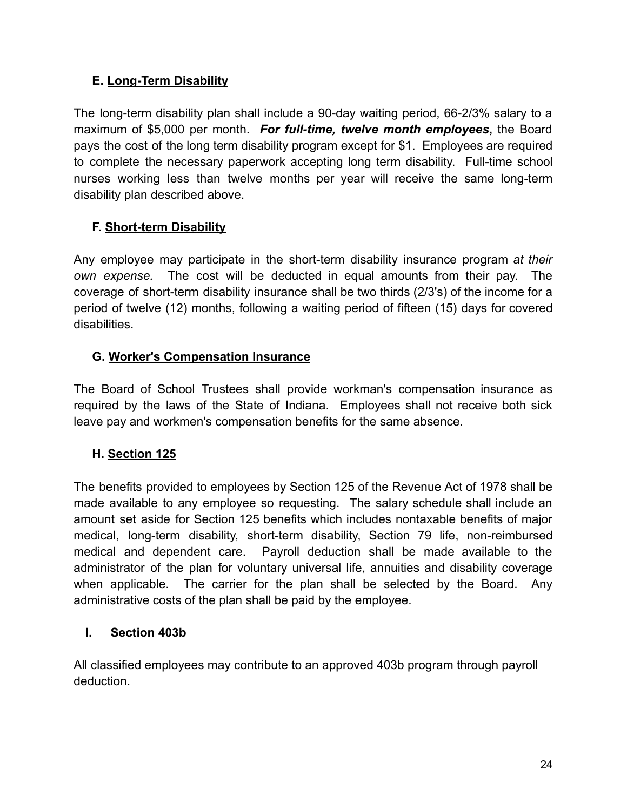#### <span id="page-23-0"></span>**E. Long-Term Disability**

The long-term disability plan shall include a 90-day waiting period, 66-2/3% salary to a maximum of \$5,000 per month. *For full-time, twelve month employees***,** the Board pays the cost of the long term disability program except for \$1. Employees are required to complete the necessary paperwork accepting long term disability. Full-time school nurses working less than twelve months per year will receive the same long-term disability plan described above.

#### <span id="page-23-1"></span>**F. Short-term Disability**

Any employee may participate in the short-term disability insurance program *at their own expense.* The cost will be deducted in equal amounts from their pay. The coverage of short-term disability insurance shall be two thirds (2/3's) of the income for a period of twelve (12) months, following a waiting period of fifteen (15) days for covered disabilities.

#### <span id="page-23-2"></span>**G. Worker's Compensation Insurance**

The Board of School Trustees shall provide workman's compensation insurance as required by the laws of the State of Indiana. Employees shall not receive both sick leave pay and workmen's compensation benefits for the same absence.

#### <span id="page-23-3"></span>**H. Section 125**

The benefits provided to employees by Section 125 of the Revenue Act of 1978 shall be made available to any employee so requesting. The salary schedule shall include an amount set aside for Section 125 benefits which includes nontaxable benefits of major medical, long-term disability, short-term disability, Section 79 life, non-reimbursed medical and dependent care. Payroll deduction shall be made available to the administrator of the plan for voluntary universal life, annuities and disability coverage when applicable. The carrier for the plan shall be selected by the Board. Any administrative costs of the plan shall be paid by the employee.

#### <span id="page-23-4"></span>**I. Section 403b**

All classified employees may contribute to an approved 403b program through payroll deduction.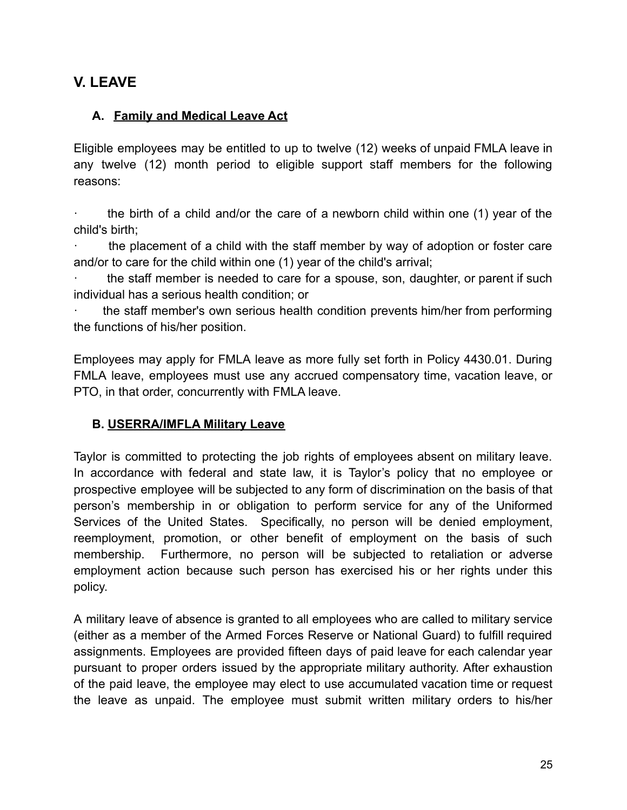# <span id="page-24-0"></span>**V. LEAVE**

#### <span id="page-24-1"></span>**A. Family and Medical Leave Act**

Eligible employees may be entitled to up to twelve (12) weeks of unpaid FMLA leave in any twelve (12) month period to eligible support staff members for the following reasons:

· the birth of a child and/or the care of a newborn child within one (1) year of the child's birth;

· the placement of a child with the staff member by way of adoption or foster care and/or to care for the child within one (1) year of the child's arrival;

the staff member is needed to care for a spouse, son, daughter, or parent if such individual has a serious health condition; or

the staff member's own serious health condition prevents him/her from performing the functions of his/her position.

Employees may apply for FMLA leave as more fully set forth in Policy 4430.01. During FMLA leave, employees must use any accrued compensatory time, vacation leave, or PTO, in that order, concurrently with FMLA leave.

#### <span id="page-24-2"></span>**B. USERRA/IMFLA Military Leave**

Taylor is committed to protecting the job rights of employees absent on military leave. In accordance with federal and state law, it is Taylor's policy that no employee or prospective employee will be subjected to any form of discrimination on the basis of that person's membership in or obligation to perform service for any of the Uniformed Services of the United States. Specifically, no person will be denied employment, reemployment, promotion, or other benefit of employment on the basis of such membership. Furthermore, no person will be subjected to retaliation or adverse employment action because such person has exercised his or her rights under this policy.

A military leave of absence is granted to all employees who are called to military service (either as a member of the Armed Forces Reserve or National Guard) to fulfill required assignments. Employees are provided fifteen days of paid leave for each calendar year pursuant to proper orders issued by the appropriate military authority. After exhaustion of the paid leave, the employee may elect to use accumulated vacation time or request the leave as unpaid. The employee must submit written military orders to his/her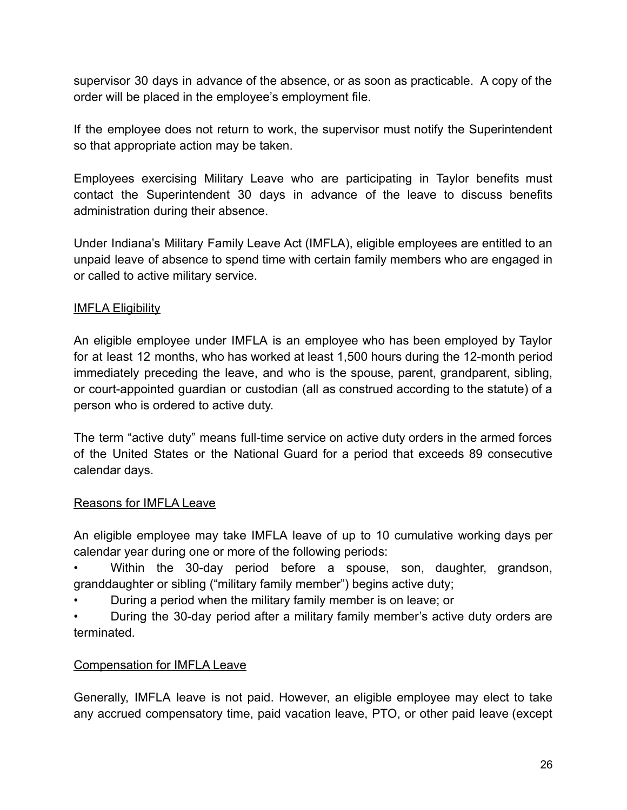supervisor 30 days in advance of the absence, or as soon as practicable. A copy of the order will be placed in the employee's employment file.

If the employee does not return to work, the supervisor must notify the Superintendent so that appropriate action may be taken.

Employees exercising Military Leave who are participating in Taylor benefits must contact the Superintendent 30 days in advance of the leave to discuss benefits administration during their absence.

Under Indiana's Military Family Leave Act (IMFLA), eligible employees are entitled to an unpaid leave of absence to spend time with certain family members who are engaged in or called to active military service.

#### IMFLA Eligibility

An eligible employee under IMFLA is an employee who has been employed by Taylor for at least 12 months, who has worked at least 1,500 hours during the 12-month period immediately preceding the leave, and who is the spouse, parent, grandparent, sibling, or court-appointed guardian or custodian (all as construed according to the statute) of a person who is ordered to active duty.

The term "active duty" means full-time service on active duty orders in the armed forces of the United States or the National Guard for a period that exceeds 89 consecutive calendar days.

#### Reasons for IMFLA Leave

An eligible employee may take IMFLA leave of up to 10 cumulative working days per calendar year during one or more of the following periods:

Within the 30-day period before a spouse, son, daughter, grandson, granddaughter or sibling ("military family member") begins active duty;

- During a period when the military family member is on leave; or
- During the 30-day period after a military family member's active duty orders are terminated.

#### Compensation for IMFLA Leave

Generally, IMFLA leave is not paid. However, an eligible employee may elect to take any accrued compensatory time, paid vacation leave, PTO, or other paid leave (except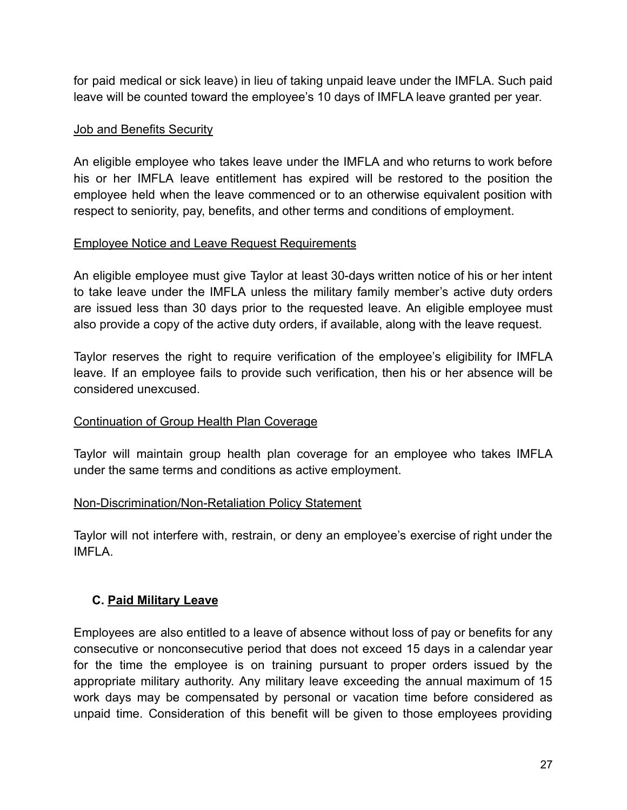for paid medical or sick leave) in lieu of taking unpaid leave under the IMFLA. Such paid leave will be counted toward the employee's 10 days of IMFLA leave granted per year.

#### Job and Benefits Security

An eligible employee who takes leave under the IMFLA and who returns to work before his or her IMFLA leave entitlement has expired will be restored to the position the employee held when the leave commenced or to an otherwise equivalent position with respect to seniority, pay, benefits, and other terms and conditions of employment.

#### Employee Notice and Leave Request Requirements

An eligible employee must give Taylor at least 30-days written notice of his or her intent to take leave under the IMFLA unless the military family member's active duty orders are issued less than 30 days prior to the requested leave. An eligible employee must also provide a copy of the active duty orders, if available, along with the leave request.

Taylor reserves the right to require verification of the employee's eligibility for IMFLA leave. If an employee fails to provide such verification, then his or her absence will be considered unexcused.

#### Continuation of Group Health Plan Coverage

Taylor will maintain group health plan coverage for an employee who takes IMFLA under the same terms and conditions as active employment.

#### Non-Discrimination/Non-Retaliation Policy Statement

Taylor will not interfere with, restrain, or deny an employee's exercise of right under the IMFLA.

#### <span id="page-26-0"></span>**C. Paid Military Leave**

Employees are also entitled to a leave of absence without loss of pay or benefits for any consecutive or nonconsecutive period that does not exceed 15 days in a calendar year for the time the employee is on training pursuant to proper orders issued by the appropriate military authority. Any military leave exceeding the annual maximum of 15 work days may be compensated by personal or vacation time before considered as unpaid time. Consideration of this benefit will be given to those employees providing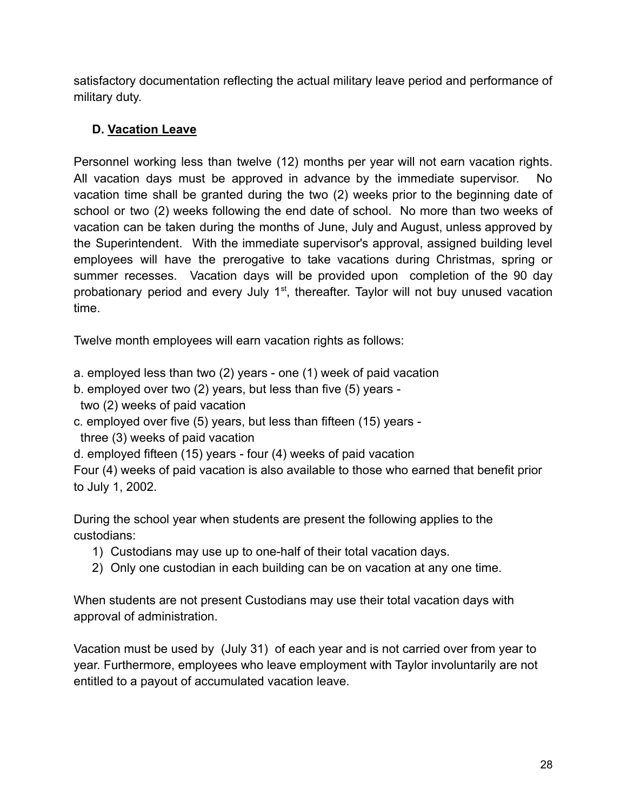satisfactory documentation reflecting the actual military leave period and performance of military duty.

### <span id="page-27-0"></span>**D. Vacation Leave**

Personnel working less than twelve (12) months per year will not earn vacation rights. All vacation days must be approved in advance by the immediate supervisor. No vacation time shall be granted during the two (2) weeks prior to the beginning date of school or two (2) weeks following the end date of school. No more than two weeks of vacation can be taken during the months of June, July and August, unless approved by the Superintendent. With the immediate supervisor's approval, assigned building level employees will have the prerogative to take vacations during Christmas, spring or summer recesses. Vacation days will be provided upon completion of the 90 day probationary period and every July 1<sup>st</sup>, thereafter. Taylor will not buy unused vacation time.

Twelve month employees will earn vacation rights as follows:

- a. employed less than two (2) years one (1) week of paid vacation
- b. employed over two (2) years, but less than five (5) years -
- two (2) weeks of paid vacation
- c. employed over five (5) years, but less than fifteen (15) years -
- three (3) weeks of paid vacation
- d. employed fifteen (15) years four (4) weeks of paid vacation

Four (4) weeks of paid vacation is also available to those who earned that benefit prior to July 1, 2002.

During the school year when students are present the following applies to the custodians:

- 1) Custodians may use up to one-half of their total vacation days.
- 2) Only one custodian in each building can be on vacation at any one time.

When students are not present Custodians may use their total vacation days with approval of administration.

Vacation must be used by (July 31) of each year and is not carried over from year to year. Furthermore, employees who leave employment with Taylor involuntarily are not entitled to a payout of accumulated vacation leave.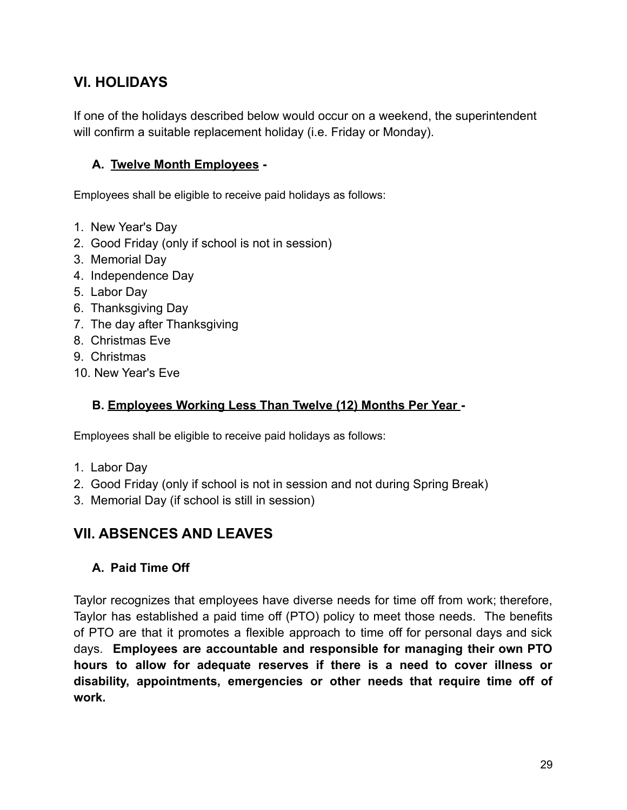# <span id="page-28-0"></span>**VI. HOLIDAYS**

If one of the holidays described below would occur on a weekend, the superintendent will confirm a suitable replacement holiday (i.e. Friday or Monday).

#### <span id="page-28-1"></span>**A. Twelve Month Employees -**

Employees shall be eligible to receive paid holidays as follows:

- 1. New Year's Day
- 2. Good Friday (only if school is not in session)
- 3. Memorial Day
- 4. Independence Day
- 5. Labor Day
- 6. Thanksgiving Day
- 7. The day after Thanksgiving
- 8. Christmas Eve
- 9. Christmas
- 10. New Year's Eve

#### <span id="page-28-2"></span>**B. Employees Working Less Than Twelve (12) Months Per Year -**

Employees shall be eligible to receive paid holidays as follows:

- 1. Labor Day
- 2. Good Friday (only if school is not in session and not during Spring Break)
- 3. Memorial Day (if school is still in session)

# <span id="page-28-3"></span>**VII. ABSENCES AND LEAVES**

#### <span id="page-28-4"></span>**A. Paid Time Off**

Taylor recognizes that employees have diverse needs for time off from work; therefore, Taylor has established a paid time off (PTO) policy to meet those needs. The benefits of PTO are that it promotes a flexible approach to time off for personal days and sick days. **Employees are accountable and responsible for managing their own PTO hours to allow for adequate reserves if there is a need to cover illness or disability, appointments, emergencies or other needs that require time off of work.**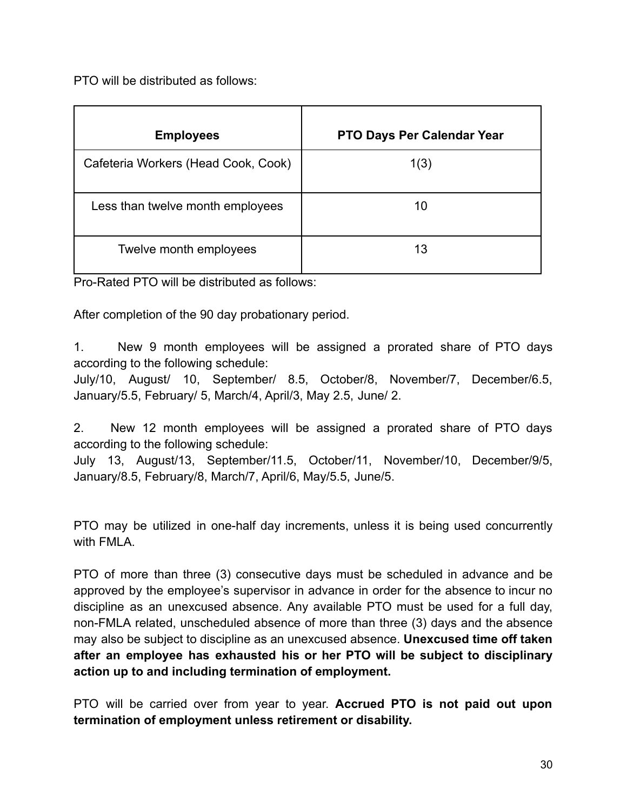PTO will be distributed as follows:

| <b>Employees</b>                    | <b>PTO Days Per Calendar Year</b> |
|-------------------------------------|-----------------------------------|
| Cafeteria Workers (Head Cook, Cook) | 1(3)                              |
| Less than twelve month employees    | 10                                |
| Twelve month employees              | 13                                |

Pro-Rated PTO will be distributed as follows:

After completion of the 90 day probationary period.

1. New 9 month employees will be assigned a prorated share of PTO days according to the following schedule:

July/10, August/ 10, September/ 8.5, October/8, November/7, December/6.5, January/5.5, February/ 5, March/4, April/3, May 2.5, June/ 2.

2. New 12 month employees will be assigned a prorated share of PTO days according to the following schedule:

July 13, August/13, September/11.5, October/11, November/10, December/9/5, January/8.5, February/8, March/7, April/6, May/5.5, June/5.

PTO may be utilized in one-half day increments, unless it is being used concurrently with FMLA.

PTO of more than three (3) consecutive days must be scheduled in advance and be approved by the employee's supervisor in advance in order for the absence to incur no discipline as an unexcused absence. Any available PTO must be used for a full day, non-FMLA related, unscheduled absence of more than three (3) days and the absence may also be subject to discipline as an unexcused absence. **Unexcused time off taken after an employee has exhausted his or her PTO will be subject to disciplinary action up to and including termination of employment.**

PTO will be carried over from year to year. **Accrued PTO is not paid out upon termination of employment unless retirement or disability.**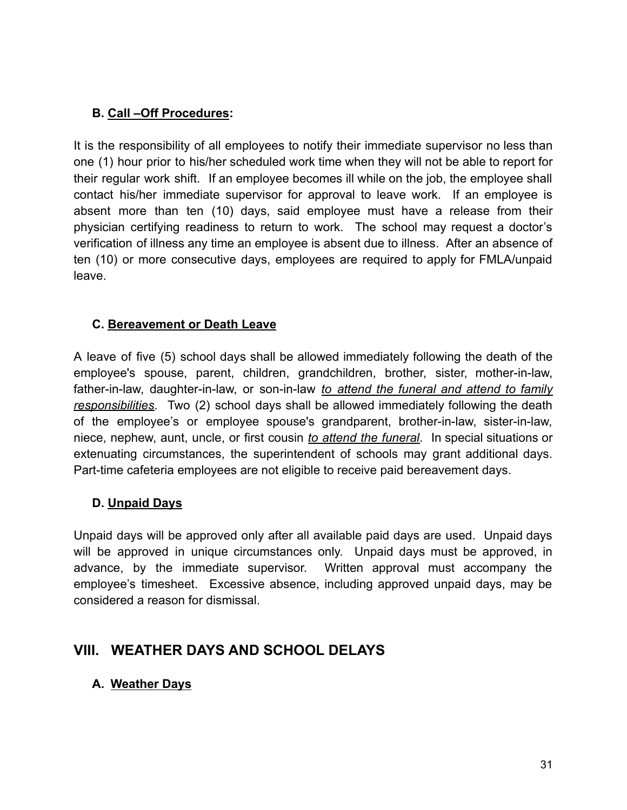#### <span id="page-30-0"></span>**B. Call –Off Procedures:**

It is the responsibility of all employees to notify their immediate supervisor no less than one (1) hour prior to his/her scheduled work time when they will not be able to report for their regular work shift. If an employee becomes ill while on the job, the employee shall contact his/her immediate supervisor for approval to leave work. If an employee is absent more than ten (10) days, said employee must have a release from their physician certifying readiness to return to work. The school may request a doctor's verification of illness any time an employee is absent due to illness. After an absence of ten (10) or more consecutive days, employees are required to apply for FMLA/unpaid leave.

#### <span id="page-30-1"></span>**C. Bereavement or Death Leave**

A leave of five (5) school days shall be allowed immediately following the death of the employee's spouse, parent, children, grandchildren, brother, sister, mother-in-law, father-in-law, daughter-in-law, or son-in-law *to attend the funeral and attend to family responsibilities*. Two (2) school days shall be allowed immediately following the death of the employee's or employee spouse's grandparent, brother-in-law, sister-in-law, niece, nephew, aunt, uncle, or first cousin *to attend the funeral*. In special situations or extenuating circumstances, the superintendent of schools may grant additional days. Part-time cafeteria employees are not eligible to receive paid bereavement days.

#### <span id="page-30-2"></span>**D. Unpaid Days**

Unpaid days will be approved only after all available paid days are used. Unpaid days will be approved in unique circumstances only. Unpaid days must be approved, in advance, by the immediate supervisor. Written approval must accompany the employee's timesheet. Excessive absence, including approved unpaid days, may be considered a reason for dismissal.

# <span id="page-30-3"></span>**VIII. WEATHER DAYS AND SCHOOL DELAYS**

#### <span id="page-30-4"></span>**A. Weather Days**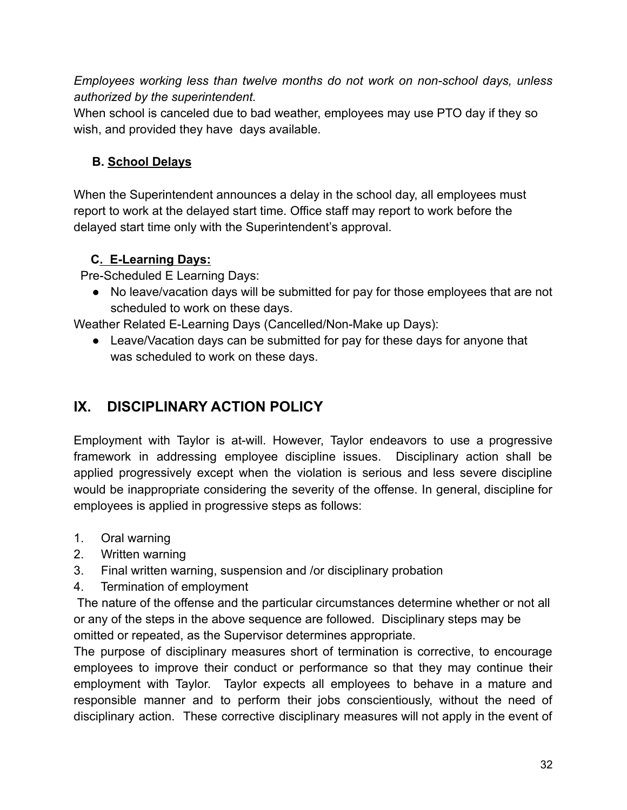*Employees working less than twelve months do not work on non-school days, unless authorized by the superintendent.*

When school is canceled due to bad weather, employees may use PTO day if they so wish, and provided they have days available.

# <span id="page-31-0"></span>**B. School Delays**

When the Superintendent announces a delay in the school day, all employees must report to work at the delayed start time. Office staff may report to work before the delayed start time only with the Superintendent's approval.

# **C. E-Learning Days:**

Pre-Scheduled E Learning Days:

● No leave/vacation days will be submitted for pay for those employees that are not scheduled to work on these days.

Weather Related E-Learning Days (Cancelled/Non-Make up Days):

● Leave/Vacation days can be submitted for pay for these days for anyone that was scheduled to work on these days.

# <span id="page-31-1"></span>**IX. DISCIPLINARY ACTION POLICY**

Employment with Taylor is at-will. However, Taylor endeavors to use a progressive framework in addressing employee discipline issues. Disciplinary action shall be applied progressively except when the violation is serious and less severe discipline would be inappropriate considering the severity of the offense. In general, discipline for employees is applied in progressive steps as follows:

- 1. Oral warning
- 2. Written warning
- 3. Final written warning, suspension and /or disciplinary probation
- 4. Termination of employment

The nature of the offense and the particular circumstances determine whether or not all or any of the steps in the above sequence are followed. Disciplinary steps may be omitted or repeated, as the Supervisor determines appropriate.

The purpose of disciplinary measures short of termination is corrective, to encourage employees to improve their conduct or performance so that they may continue their employment with Taylor. Taylor expects all employees to behave in a mature and responsible manner and to perform their jobs conscientiously, without the need of disciplinary action. These corrective disciplinary measures will not apply in the event of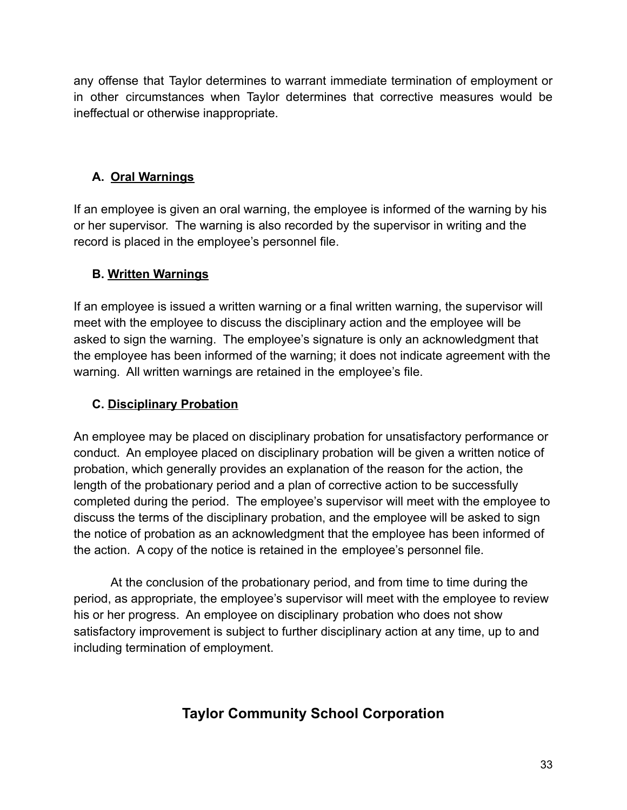any offense that Taylor determines to warrant immediate termination of employment or in other circumstances when Taylor determines that corrective measures would be ineffectual or otherwise inappropriate.

# <span id="page-32-0"></span>**A. Oral Warnings**

If an employee is given an oral warning, the employee is informed of the warning by his or her supervisor. The warning is also recorded by the supervisor in writing and the record is placed in the employee's personnel file.

#### <span id="page-32-1"></span>**B. Written Warnings**

If an employee is issued a written warning or a final written warning, the supervisor will meet with the employee to discuss the disciplinary action and the employee will be asked to sign the warning. The employee's signature is only an acknowledgment that the employee has been informed of the warning; it does not indicate agreement with the warning. All written warnings are retained in the employee's file.

#### <span id="page-32-2"></span>**C. Disciplinary Probation**

An employee may be placed on disciplinary probation for unsatisfactory performance or conduct. An employee placed on disciplinary probation will be given a written notice of probation, which generally provides an explanation of the reason for the action, the length of the probationary period and a plan of corrective action to be successfully completed during the period. The employee's supervisor will meet with the employee to discuss the terms of the disciplinary probation, and the employee will be asked to sign the notice of probation as an acknowledgment that the employee has been informed of the action. A copy of the notice is retained in the employee's personnel file.

At the conclusion of the probationary period, and from time to time during the period, as appropriate, the employee's supervisor will meet with the employee to review his or her progress. An employee on disciplinary probation who does not show satisfactory improvement is subject to further disciplinary action at any time, up to and including termination of employment.

# **Taylor Community School Corporation**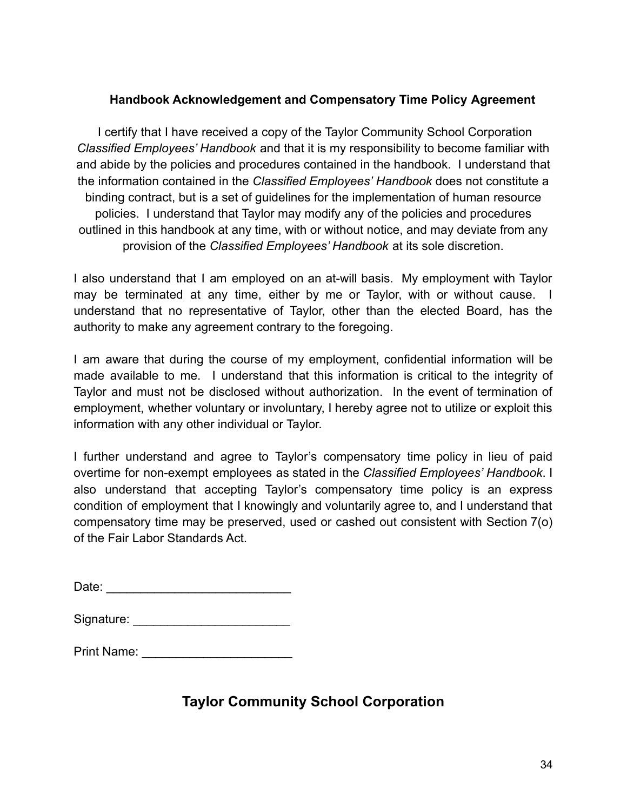#### **Handbook Acknowledgement and Compensatory Time Policy Agreement**

<span id="page-33-0"></span>I certify that I have received a copy of the Taylor Community School Corporation *Classified Employees' Handbook* and that it is my responsibility to become familiar with and abide by the policies and procedures contained in the handbook. I understand that the information contained in the *Classified Employees' Handbook* does not constitute a binding contract, but is a set of guidelines for the implementation of human resource policies. I understand that Taylor may modify any of the policies and procedures outlined in this handbook at any time, with or without notice, and may deviate from any provision of the *Classified Employees' Handbook* at its sole discretion.

I also understand that I am employed on an at-will basis. My employment with Taylor may be terminated at any time, either by me or Taylor, with or without cause. I understand that no representative of Taylor, other than the elected Board, has the authority to make any agreement contrary to the foregoing.

I am aware that during the course of my employment, confidential information will be made available to me. I understand that this information is critical to the integrity of Taylor and must not be disclosed without authorization. In the event of termination of employment, whether voluntary or involuntary, I hereby agree not to utilize or exploit this information with any other individual or Taylor.

I further understand and agree to Taylor's compensatory time policy in lieu of paid overtime for non-exempt employees as stated in the *Classified Employees' Handbook*. I also understand that accepting Taylor's compensatory time policy is an express condition of employment that I knowingly and voluntarily agree to, and I understand that compensatory time may be preserved, used or cashed out consistent with Section 7(o) of the Fair Labor Standards Act.

| Signature: |  |
|------------|--|
|            |  |

Print Name: \_\_\_\_\_\_\_\_\_\_\_\_\_\_\_\_\_\_\_\_\_\_

# **Taylor Community School Corporation**